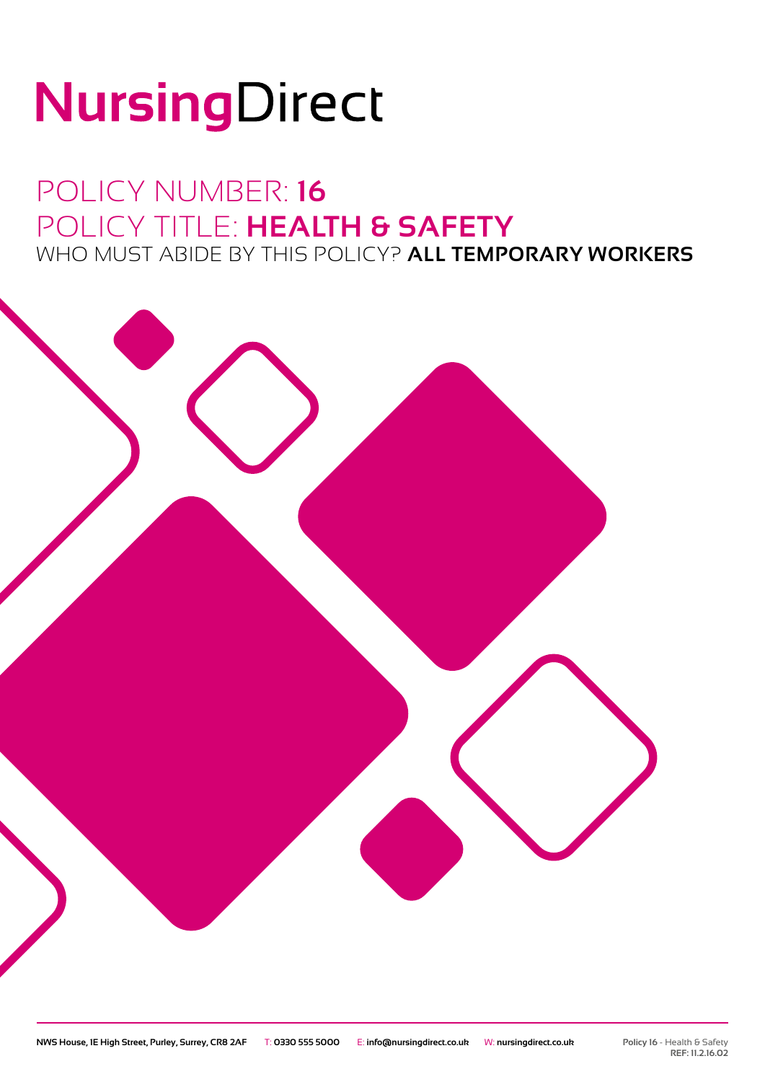# NursingDirect

# POLICY NUMBER: **16** POLICY TITLE: **HEALTH & SAFETY** WHO MUST ABIDE BY THIS POLICY? **ALL TEMPORARY WORKERS**

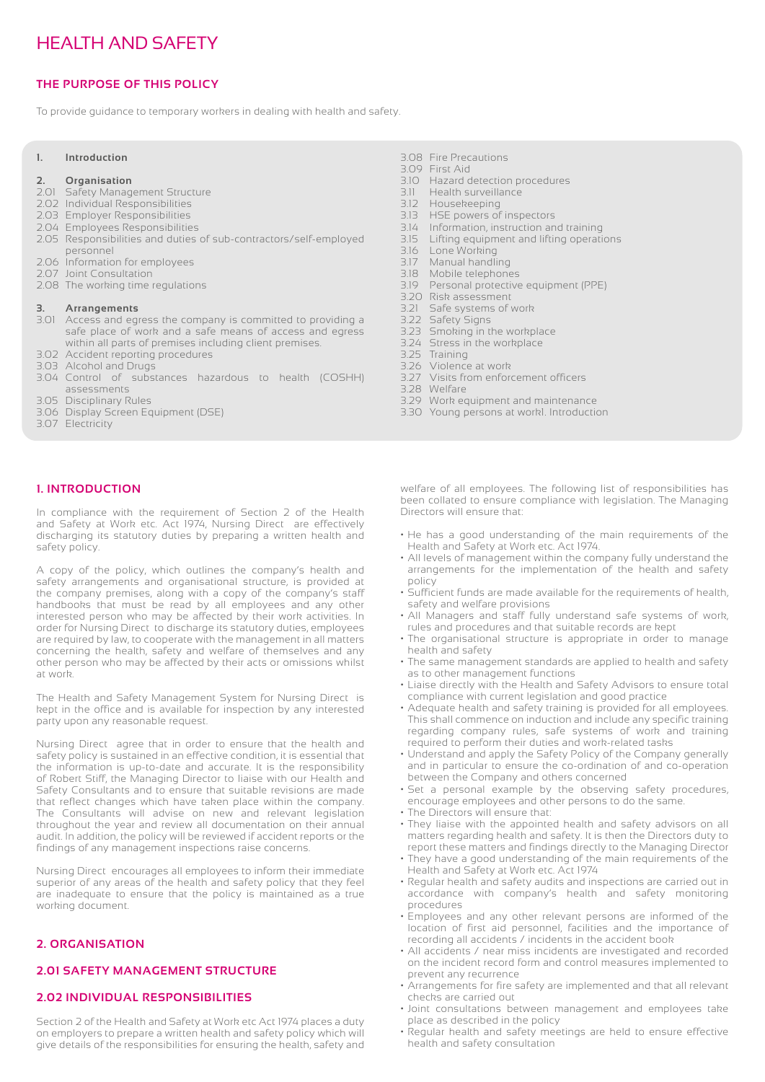# HEALTH AND SAFETY

# **THE PURPOSE OF THIS POLICY**

To provide guidance to temporary workers in dealing with health and safety.

### **1. Introduction**

### **2. Organisation**

- 2.01 Safety Management Structure
- 2.02 Individual Responsibilities
- 2.03 Employer Responsibilities
- 2.04 Employees Responsibilities
- 2.05 Responsibilities and duties of sub-contractors/self-employed personnel
- 2.06 Information for employees
- 2.07 Joint Consultation
- 2.08 The working time regulations

### **3. Arrangements**

- 3.01 Access and egress the company is committed to providing a safe place of work and a safe means of access and egress within all parts of premises including client premises. 3.02 Accident reporting procedures
- 
- 3.03 Alcohol and Drugs 3.04 Control of substances hazardous to health (COSHH) assessments
- 3.05 Disciplinary Rules
- 3.06 Display Screen Equipment (DSE)
- 3.07 Electricity

# **1. INTRODUCTION**

In compliance with the requirement of Section 2 of the Health and Safety at Work etc. Act 1974, Nursing Direct are effectively discharging its statutory duties by preparing a written health and safety policy.

A copy of the policy, which outlines the company's health and safety arrangements and organisational structure, is provided at the company premises, along with a copy of the company's staff handbooks that must be read by all employees and any other interested person who may be affected by their work activities. In order for Nursing Direct to discharge its statutory duties, employees are required by law, to cooperate with the management in all matters concerning the health, safety and welfare of themselves and any other person who may be affected by their acts or omissions whilst at work.

The Health and Safety Management System for Nursing Direct is kept in the office and is available for inspection by any interested party upon any reasonable request.

Nursing Direct agree that in order to ensure that the health and safety policy is sustained in an effective condition, it is essential that the information is up-to-date and accurate. It is the responsibility of Robert Stiff, the Managing Director to liaise with our Health and Safety Consultants and to ensure that suitable revisions are made that reflect changes which have taken place within the company. The Consultants will advise on new and relevant legislation throughout the year and review all documentation on their annual audit. In addition, the policy will be reviewed if accident reports or the findings of any management inspections raise concerns.

Nursing Direct encourages all employees to inform their immediate superior of any areas of the health and safety policy that they feel are inadequate to ensure that the policy is maintained as a true working document.

# **2. ORGANISATION**

# **2.01 SAFETY MANAGEMENT STRUCTURE**

# **2.02 INDIVIDUAL RESPONSIBILITIES**

Section 2 of the Health and Safety at Work etc Act 1974 places a duty on employers to prepare a written health and safety policy which will give details of the responsibilities for ensuring the health, safety and

- 3.08 Fire Precautions
- 3.09 First Aid
- 3.10 Hazard detection procedures
- Health surveillance
- 3.12 Housekeeping<br>3.13 HSE powers of
- HSE powers of inspectors 3.14 Information, instruction and training
- 3.15 Lifting equipment and lifting operations
- 3.16 Lone Working
- 
- 3.17 Manual handling Mobile telephones
- 3.19 Personal protective equipment (PPE)
- 3.20 Risk assessment
- 3.21 Safe systems of work
- 3.22 Safety Signs
- 3.23 Smoking in the workplace
- 3.24 Stress in the workplace
- 3.25 Training
- 3.26 Violence at work
- 3.27 Visits from enforcement officers
- 3.28 Welfare
- 3.29 Work equipment and maintenance
- 3.30 Young persons at work1. Introduction

welfare of all employees. The following list of responsibilities has been collated to ensure compliance with legislation. The Managing Directors will ensure that:

- He has a good understanding of the main requirements of the Health and Safety at Work etc. Act 1974.
- All levels of management within the company fully understand the arrangements for the implementation of the health and safety policy
- Sufficient funds are made available for the requirements of health, safety and welfare provisions
- All Managers and staff fully understand safe systems of work, rules and procedures and that suitable records are kept
- The organisational structure is appropriate in order to manage health and safety
- The same management standards are applied to health and safety as to other management functions
- Liaise directly with the Health and Safety Advisors to ensure total compliance with current legislation and good practice
- Adequate health and safety training is provided for all employees. This shall commence on induction and include any specific training regarding company rules, safe systems of work and training required to perform their duties and work-related tasks
- Understand and apply the Safety Policy of the Company generally and in particular to ensure the co-ordination of and co-operation between the Company and others concerned
- Set a personal example by the observing safety procedures, encourage employees and other persons to do the same.
- The Directors will ensure that:
- They liaise with the appointed health and safety advisors on all matters regarding health and safety. It is then the Directors duty to report these matters and findings directly to the Managing Director
- They have a good understanding of the main requirements of the Health and Safety at Work etc. Act 1974
- Regular health and safety audits and inspections are carried out in accordance with company's health and safety monitoring procedures
- Employees and any other relevant persons are informed of the location of first aid personnel, facilities and the importance of recording all accidents / incidents in the accident book
- All accidents / near miss incidents are investigated and recorded on the incident record form and control measures implemented to prevent any recurrence
- Arrangements for fire safety are implemented and that all relevant checks are carried out
- Joint consultations between management and employees take place as described in the policy
- Regular health and safety meetings are held to ensure effective health and safety consultation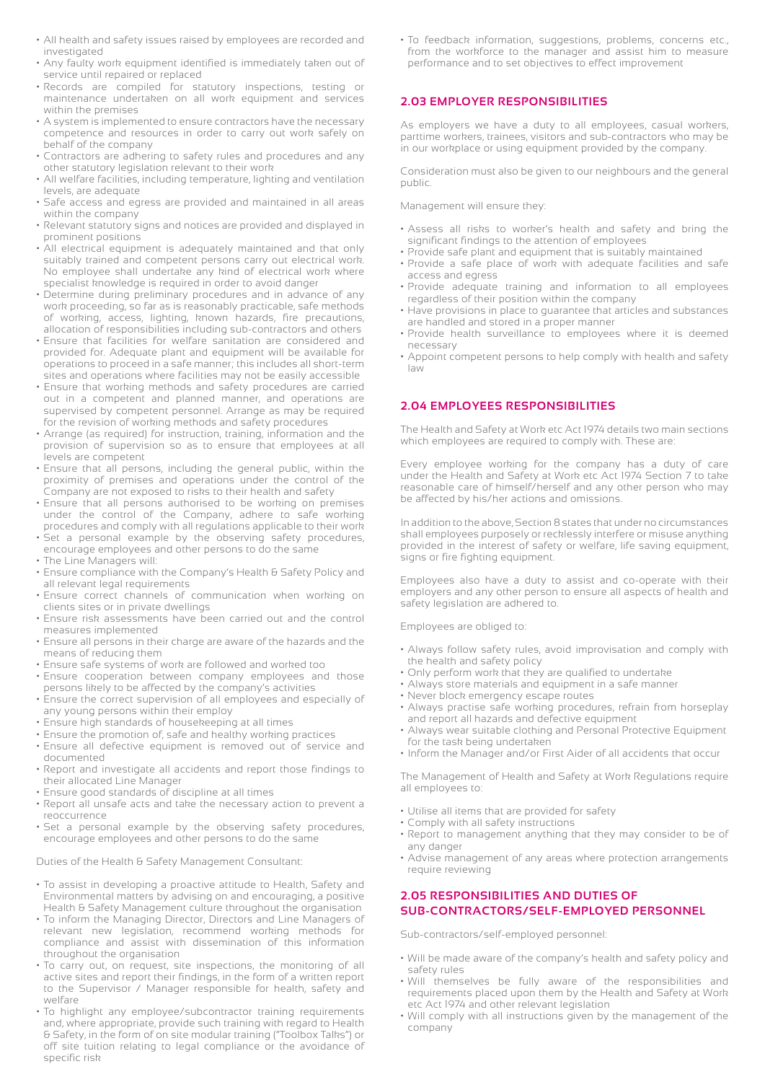- All health and safety issues raised by employees are recorded and investigated
- Any faulty work equipment identified is immediately taken out of service until repaired or replaced
- Records are compiled for statutory inspections, testing or maintenance undertaken on all work equipment and services within the premises
- A system is implemented to ensure contractors have the necessary competence and resources in order to carry out work safely on behalf of the company
- Contractors are adhering to safety rules and procedures and any other statutory legislation relevant to their work
- All welfare facilities, including temperature, lighting and ventilation levels, are adequate
- Safe access and egress are provided and maintained in all areas within the company
- Relevant statutory signs and notices are provided and displayed in prominent positions
- All electrical equipment is adequately maintained and that only suitably trained and competent persons carry out electrical work. No employee shall undertake any kind of electrical work where specialist knowledge is required in order to avoid danger
- Determine during preliminary procedures and in advance of any work proceeding, so far as is reasonably practicable, safe methods of working, access, lighting, known hazards, fire precautions, allocation of responsibilities including sub-contractors and others
- Ensure that facilities for welfare sanitation are considered and provided for. Adequate plant and equipment will be available for operations to proceed in a safe manner; this includes all short-term sites and operations where facilities may not be easily accessible
- Ensure that working methods and safety procedures are carried out in a competent and planned manner, and operations are supervised by competent personnel. Arrange as may be required for the revision of working methods and safety procedures
- Arrange (as required) for instruction, training, information and the provision of supervision so as to ensure that employees at all levels are competent
- Ensure that all persons, including the general public, within the proximity of premises and operations under the control of the Company are not exposed to risks to their health and safety
- Ensure that all persons authorised to be working on premises under the control of the Company, adhere to safe working procedures and comply with all regulations applicable to their work
- Set a personal example by the observing safety procedures, encourage employees and other persons to do the same
- The Line Managers will:
- Ensure compliance with the Company's Health & Safety Policy and all relevant legal requirements
- Ensure correct channels of communication when working on clients sites or in private dwellings
- Ensure risk assessments have been carried out and the control measures implemented
- Ensure all persons in their charge are aware of the hazards and the means of reducing them
- Ensure safe systems of work are followed and worked too
- Ensure cooperation between company employees and those persons likely to be affected by the company's activities
- Ensure the correct supervision of all employees and especially of any young persons within their employ
- Ensure high standards of housekeeping at all times
- Ensure the promotion of, safe and healthy working practices
- Ensure all defective equipment is removed out of service and documented
- Report and investigate all accidents and report those findings to their allocated Line Manager
- Ensure good standards of discipline at all times
- Report all unsafe acts and take the necessary action to prevent a reoccurrence
- Set a personal example by the observing safety procedures, encourage employees and other persons to do the same

Duties of the Health & Safety Management Consultant:

- To assist in developing a proactive attitude to Health, Safety and Environmental matters by advising on and encouraging, a positive Health & Safety Management culture throughout the organisation
- To inform the Managing Director, Directors and Line Managers of relevant new legislation, recommend working methods for compliance and assist with dissemination of this information throughout the organisation
- To carry out, on request, site inspections, the monitoring of all active sites and report their findings, in the form of a written report to the Supervisor / Manager responsible for health, safety and welfare
- To highlight any employee/subcontractor training requirements and, where appropriate, provide such training with regard to Health & Safety, in the form of on site modular training ("Toolbox Talks") or off site tuition relating to legal compliance or the avoidance of specific risk

• To feedback information, suggestions, problems, concerns etc., from the workforce to the manager and assist him to measure performance and to set objectives to effect improvement

# **2.03 EMPLOYER RESPONSIBILITIES**

As employers we have a duty to all employees, casual workers, parttime workers, trainees, visitors and sub-contractors who may be in our workplace or using equipment provided by the company.

Consideration must also be given to our neighbours and the general public.

Management will ensure they:

- Assess all risks to worker's health and safety and bring the significant findings to the attention of employees
- Provide safe plant and equipment that is suitably maintained
- Provide a safe place of work with adequate facilities and safe access and egress
- Provide adequate training and information to all employees regardless of their position within the company
- Have provisions in place to guarantee that articles and substances are handled and stored in a proper manner
- Provide health surveillance to employees where it is deemed necessary
- Appoint competent persons to help comply with health and safety law

# **2.04 EMPLOYEES RESPONSIBILITIES**

The Health and Safety at Work etc Act 1974 details two main sections which employees are required to comply with. These are:

Every employee working for the company has a duty of care under the Health and Safety at Work etc Act 1974 Section 7 to take reasonable care of himself/herself and any other person who may be affected by his/her actions and omissions.

In addition to the above, Section 8 states that under no circumstances shall employees purposely or recklessly interfere or misuse anything provided in the interest of safety or welfare, life saving equipment, signs or fire fighting equipment.

Employees also have a duty to assist and co-operate with their employers and any other person to ensure all aspects of health and safety legislation are adhered to.

Employees are obliged to:

- Always follow safety rules, avoid improvisation and comply with the health and safety policy
- Only perform work that they are qualified to undertake
- Always store materials and equipment in a safe manner
- Never block emergency escape routes
- Always practise safe working procedures, refrain from horseplay and report all hazards and defective equipment
- Always wear suitable clothing and Personal Protective Equipment for the task being undertaken
- Inform the Manager and/or First Aider of all accidents that occur

The Management of Health and Safety at Work Regulations require all employees to:

- Utilise all items that are provided for safety
- Comply with all safety instructions
- Report to management anything that they may consider to be of any danger
- Advise management of any areas where protection arrangements require reviewing

# **2.05 RESPONSIBILITIES AND DUTIES OF SUB-CONTRACTORS/SELF-EMPLOYED PERSONNEL**

Sub-contractors/self-employed personnel:

- Will be made aware of the company's health and safety policy and safety rules
- Will themselves be fully aware of the responsibilities and requirements placed upon them by the Health and Safety at Work etc Act 1974 and other relevant legislation
- Will comply with all instructions given by the management of the company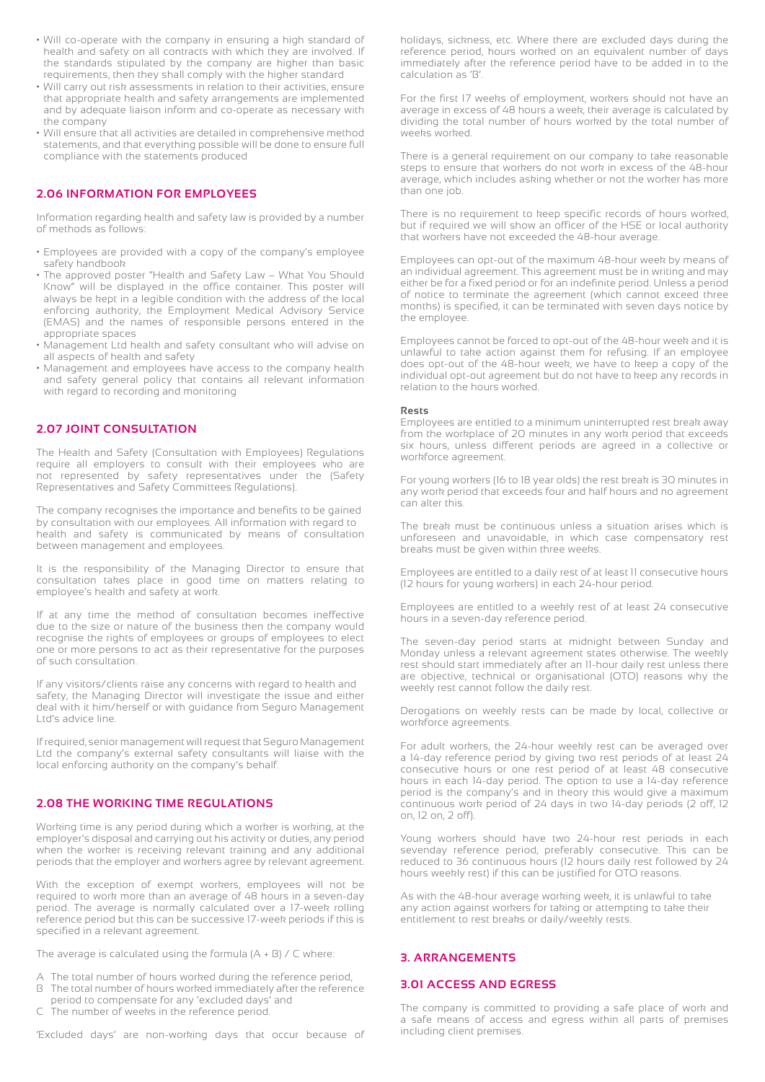- Will co-operate with the company in ensuring a high standard of health and safety on all contracts with which they are involved. If the standards stipulated by the company are higher than basic requirements, then they shall comply with the higher standard
- Will carry out risk assessments in relation to their activities, ensure that appropriate health and safety arrangements are implemented and by adequate liaison inform and co-operate as necessary with the company
- Will ensure that all activities are detailed in comprehensive method statements, and that everything possible will be done to ensure full compliance with the statements produced

# **2.06 INFORMATION FOR EMPLOYEES**

Information regarding health and safety law is provided by a number of methods as follows:

- Employees are provided with a copy of the company's employee safety handbook
- The approved poster "Health and Safety Law What You Should Know" will be displayed in the office container. This poster will always be kept in a legible condition with the address of the local enforcing authority, the Employment Medical Advisory Service (EMAS) and the names of responsible persons entered in the appropriate spaces
- Management Ltd health and safety consultant who will advise on all aspects of health and safety
- Management and employees have access to the company health and safety general policy that contains all relevant information with regard to recording and monitoring

# **2.07 JOINT CONSULTATION**

The Health and Safety (Consultation with Employees) Regulations require all employers to consult with their employees who are not represented by safety representatives under the (Safety Representatives and Safety Committees Regulations).

The company recognises the importance and benefits to be gained by consultation with our employees. All information with regard to health and safety is communicated by means of consultation between management and employees.

It is the responsibility of the Managing Director to ensure that consultation takes place in good time on matters relating to employee's health and safety at work.

If at any time the method of consultation becomes ineffective due to the size or nature of the business then the company would recognise the rights of employees or groups of employees to elect one or more persons to act as their representative for the purposes of such consultation.

If any visitors/clients raise any concerns with regard to health and safety, the Managing Director will investigate the issue and either deal with it him/herself or with guidance from Seguro Management Ltd's advice line.

If required, senior management will request that Seguro Management Ltd the company's external safety consultants will liaise with the local enforcing authority on the company's behalf.

### **2.08 THE WORKING TIME REGULATIONS**

Working time is any period during which a worker is working, at the employer's disposal and carrying out his activity or duties, any period when the worker is receiving relevant training and any additional periods that the employer and workers agree by relevant agreement.

With the exception of exempt workers, employees will not be required to work more than an average of 48 hours in a seven-day period. The average is normally calculated over a 17-week rolling reference period but this can be successive 17-week periods if this is specified in a relevant agreement.

The average is calculated using the formula  $(A + B) / C$  where:

- A The total number of hours worked during the reference period,
- B The total number of hours worked immediately after the reference
- period to compensate for any 'excluded days' and<br>C. The number of weeks in the reference period
- The number of weeks in the reference period.

'Excluded days' are non-working days that occur because of

holidays, sickness, etc. Where there are excluded days during the reference period, hours worked on an equivalent number of days immediately after the reference period have to be added in to the calculation as 'B'.

For the first 17 weeks of employment, workers should not have an average in excess of 48 hours a week, their average is calculated by dividing the total number of hours worked by the total number of weeks worked.

There is a general requirement on our company to take reasonable steps to ensure that workers do not work in excess of the 48-hour average, which includes asking whether or not the worker has more than one job.

There is no requirement to keep specific records of hours worked, but if required we will show an officer of the HSE or local authority that workers have not exceeded the 48-hour average.

Employees can opt-out of the maximum 48-hour week by means of an individual agreement. This agreement must be in writing and may either be for a fixed period or for an indefinite period. Unless a period of notice to terminate the agreement (which cannot exceed three months) is specified, it can be terminated with seven days notice by the employee.

Employees cannot be forced to opt-out of the 48-hour week and it is unlawful to take action against them for refusing. If an employee does opt-out of the 48-hour week, we have to keep a copy of the individual opt-out agreement but do not have to keep any records in relation to the hours worked.

### **Rests**

Employees are entitled to a minimum uninterrupted rest break away from the workplace of 20 minutes in any work period that exceeds six hours, unless different periods are agreed in a collective or workforce agreement.

For young workers (16 to 18 year olds) the rest break is 30 minutes in any work period that exceeds four and half hours and no agreement can alter this.

The break must be continuous unless a situation arises which is unforeseen and unavoidable, in which case compensatory rest breaks must be given within three weeks.

Employees are entitled to a daily rest of at least 11 consecutive hours (12 hours for young workers) in each 24-hour period.

Employees are entitled to a weekly rest of at least 24 consecutive hours in a seven-day reference period.

The seven-day period starts at midnight between Sunday and Monday unless a relevant agreement states otherwise. The weekly rest should start immediately after an 11-hour daily rest unless there are objective, technical or organisational (OTO) reasons why the weekly rest cannot follow the daily rest.

Derogations on weekly rests can be made by local, collective or workforce agreements.

For adult workers, the 24-hour weekly rest can be averaged over a 14-day reference period by giving two rest periods of at least 24 consecutive hours or one rest period of at least 48 consecutive hours in each 14-day period. The option to use a 14-day reference period is the company's and in theory this would give a maximum continuous work period of 24 days in two 14-day periods (2 off, 12 on, 12 on, 2 off).

Young workers should have two 24-hour rest periods in each sevenday reference period, preferably consecutive. This can be reduced to 36 continuous hours (12 hours daily rest followed by 24 hours weekly rest) if this can be justified for OTO reasons.

As with the 48-hour average working week, it is unlawful to take any action against workers for taking or attempting to take their entitlement to rest breaks or daily/weekly rests.

# **3. ARRANGEMENTS**

# **3.01 ACCESS AND EGRESS**

The company is committed to providing a safe place of work and a safe means of access and egress within all parts of premises including client premises.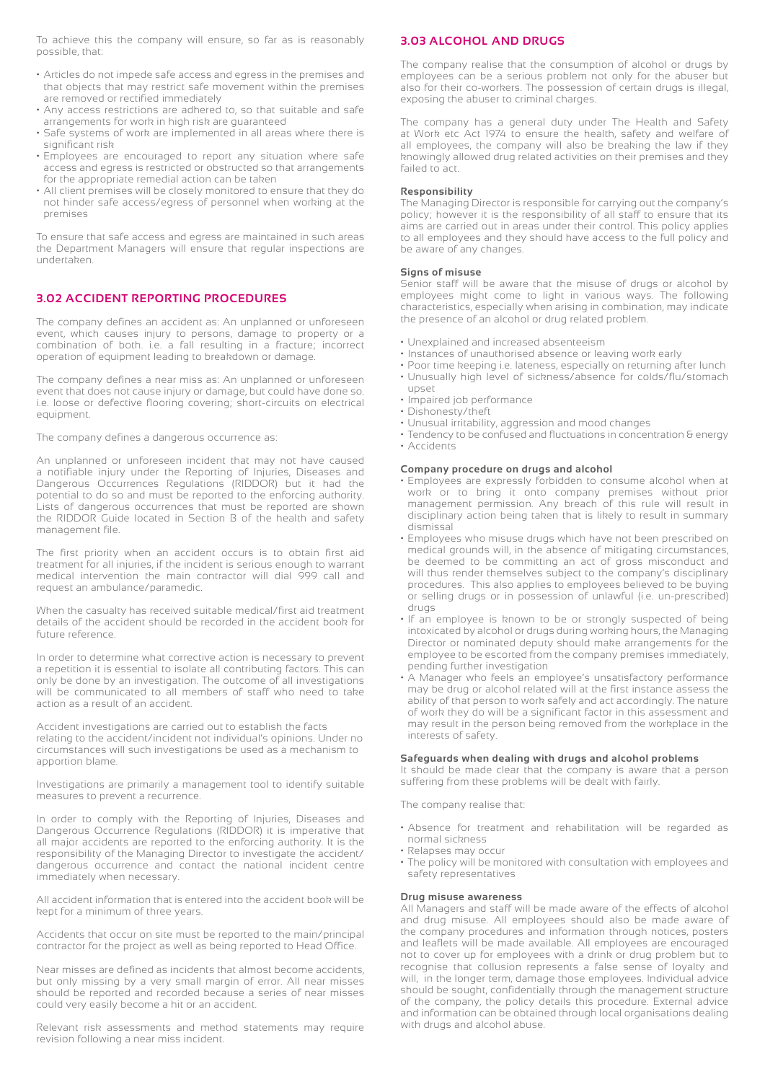To achieve this the company will ensure, so far as is reasonably possible, that:

- Articles do not impede safe access and egress in the premises and that objects that may restrict safe movement within the premises are removed or rectified immediately
- Any access restrictions are adhered to, so that suitable and safe arrangements for work in high risk are guaranteed
- Safe systems of work are implemented in all areas where there is significant risk
- Employees are encouraged to report any situation where safe access and egress is restricted or obstructed so that arrangements for the appropriate remedial action can be taken
- All client premises will be closely monitored to ensure that they do not hinder safe access/egress of personnel when working at the premises

To ensure that safe access and egress are maintained in such areas the Department Managers will ensure that regular inspections are undertaken.

# **3.02 ACCIDENT REPORTING PROCEDURES**

The company defines an accident as: An unplanned or unforeseen event, which causes injury to persons, damage to property or a combination of both. i.e. a fall resulting in a fracture; incorrect operation of equipment leading to breakdown or damage.

The company defines a near miss as: An unplanned or unforeseen event that does not cause injury or damage, but could have done so. i.e. loose or defective flooring covering; short-circuits on electrical equipment.

The company defines a dangerous occurrence as:

An unplanned or unforeseen incident that may not have caused a notifiable injury under the Reporting of Injuries, Diseases and Dangerous Occurrences Regulations (RIDDOR) but it had the potential to do so and must be reported to the enforcing authority. Lists of dangerous occurrences that must be reported are shown the RIDDOR Guide located in Section B of the health and safety management file.

The first priority when an accident occurs is to obtain first aid treatment for all injuries, if the incident is serious enough to warrant medical intervention the main contractor will dial 999 call and request an ambulance/paramedic.

When the casualty has received suitable medical/first aid treatment details of the accident should be recorded in the accident book for future reference.

In order to determine what corrective action is necessary to prevent a repetition it is essential to isolate all contributing factors. This can only be done by an investigation. The outcome of all investigations will be communicated to all members of staff who need to take action as a result of an accident.

Accident investigations are carried out to establish the facts relating to the accident/incident not individual's opinions. Under no circumstances will such investigations be used as a mechanism to apportion blame.

Investigations are primarily a management tool to identify suitable measures to prevent a recurrence.

In order to comply with the Reporting of Injuries, Diseases and Dangerous Occurrence Regulations (RIDDOR) it is imperative that all major accidents are reported to the enforcing authority. It is the responsibility of the Managing Director to investigate the accident/ dangerous occurrence and contact the national incident centre immediately when necessary.

All accident information that is entered into the accident book will be kept for a minimum of three years.

Accidents that occur on site must be reported to the main/principal contractor for the project as well as being reported to Head Office.

Near misses are defined as incidents that almost become accidents, but only missing by a very small margin of error. All near misses should be reported and recorded because a series of near misses could very easily become a hit or an accident.

Relevant risk assessments and method statements may require revision following a near miss incident.

# **3.03 ALCOHOL AND DRUGS**

The company realise that the consumption of alcohol or drugs by employees can be a serious problem not only for the abuser but also for their co-workers. The possession of certain drugs is illegal, exposing the abuser to criminal charges.

The company has a general duty under The Health and Safety at Work etc Act 1974 to ensure the health, safety and welfare of all employees, the company will also be breaking the law if they knowingly allowed drug related activities on their premises and they failed to act.

### **Responsibility**

The Managing Director is responsible for carrying out the company's policy; however it is the responsibility of all staff to ensure that its aims are carried out in areas under their control. This policy applies to all employees and they should have access to the full policy and be aware of any changes.

### **Signs of misuse**

Senior staff will be aware that the misuse of drugs or alcohol by employees might come to light in various ways. The following characteristics, especially when arising in combination, may indicate the presence of an alcohol or drug related problem.

- Unexplained and increased absenteeism
- Instances of unauthorised absence or leaving work early
- Poor time keeping i.e. lateness, especially on returning after lunch • Unusually high level of sickness/absence for colds/flu/stomach
- upset • Impaired job performance
- Dishonesty/theft
- Unusual irritability, aggression and mood changes
- Tendency to be confused and fluctuations in concentration & energy • Accidents

### **Company procedure on drugs and alcohol**

- Employees are expressly forbidden to consume alcohol when at work or to bring it onto company premises without prior management permission. Any breach of this rule will result in disciplinary action being taken that is likely to result in summary dismissal
- Employees who misuse drugs which have not been prescribed on medical grounds will, in the absence of mitigating circumstances, be deemed to be committing an act of gross misconduct and will thus render themselves subject to the company's disciplinary procedures. This also applies to employees believed to be buying or selling drugs or in possession of unlawful (i.e. un-prescribed) drugs
- If an employee is known to be or strongly suspected of being intoxicated by alcohol or drugs during working hours, the Managing Director or nominated deputy should make arrangements for the employee to be escorted from the company premises immediately, pending further investigation
- A Manager who feels an employee's unsatisfactory performance may be drug or alcohol related will at the first instance assess the ability of that person to work safely and act accordingly. The nature of work they do will be a significant factor in this assessment and may result in the person being removed from the workplace in the interests of safety.

### **Safeguards when dealing with drugs and alcohol problems**

It should be made clear that the company is aware that a person suffering from these problems will be dealt with fairly.

The company realise that:

- Absence for treatment and rehabilitation will be regarded as normal sickness
- Relapses may occur
- The policy will be monitored with consultation with employees and safety representatives

### **Drug misuse awareness**

All Managers and staff will be made aware of the effects of alcohol and drug misuse. All employees should also be made aware of the company procedures and information through notices, posters and leaflets will be made available. All employees are encouraged not to cover up for employees with a drink or drug problem but to recognise that collusion represents a false sense of loyalty and will, in the longer term, damage those employees. Individual advice should be sought, confidentially through the management structure of the company, the policy details this procedure. External advice and information can be obtained through local organisations dealing with drugs and alcohol abuse.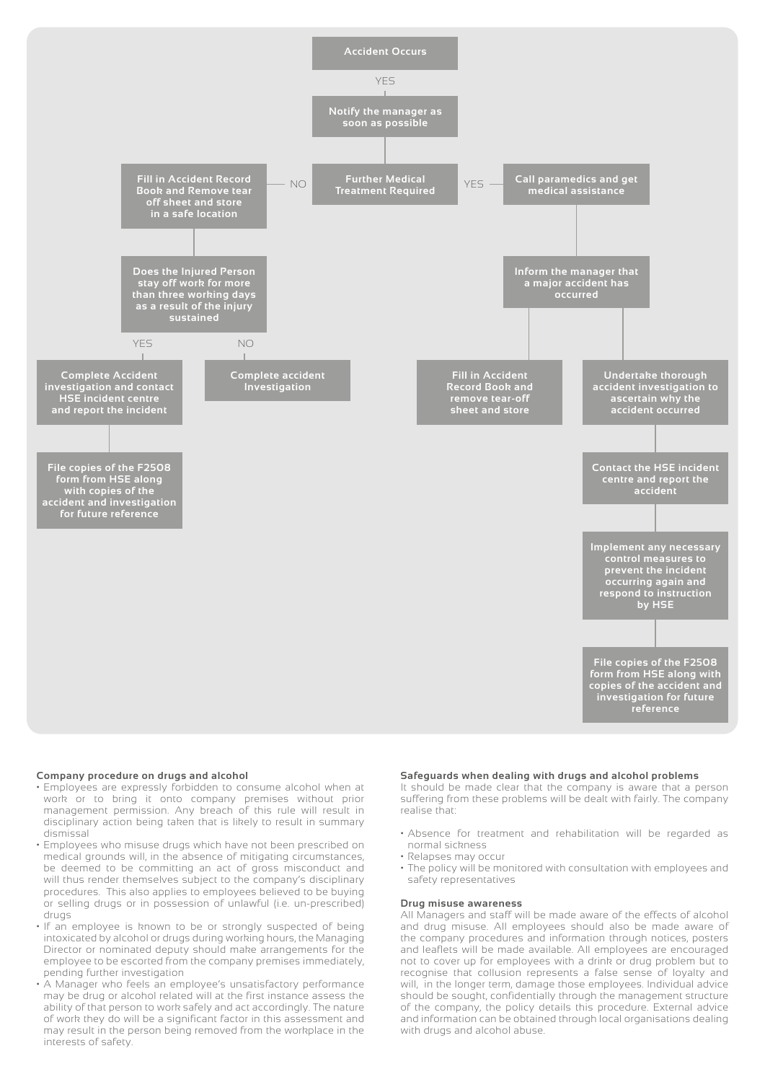

### **Company procedure on drugs and alcohol**

- Employees are expressly forbidden to consume alcohol when at work or to bring it onto company premises without prior management permission. Any breach of this rule will result in disciplinary action being taken that is likely to result in summary dismissal
- Employees who misuse drugs which have not been prescribed on medical grounds will, in the absence of mitigating circumstances, be deemed to be committing an act of gross misconduct and will thus render themselves subject to the company's disciplinary procedures. This also applies to employees believed to be buying or selling drugs or in possession of unlawful (i.e. un-prescribed) drugs
- If an employee is known to be or strongly suspected of being intoxicated by alcohol or drugs during working hours, the Managing Director or nominated deputy should make arrangements for the employee to be escorted from the company premises immediately, pending further investigation
- A Manager who feels an employee's unsatisfactory performance may be drug or alcohol related will at the first instance assess the ability of that person to work safely and act accordingly. The nature of work they do will be a significant factor in this assessment and may result in the person being removed from the workplace in the interests of safety.

### **Safeguards when dealing with drugs and alcohol problems**

It should be made clear that the company is aware that a person suffering from these problems will be dealt with fairly. The company realise that:

- Absence for treatment and rehabilitation will be regarded as normal sickness
- Relapses may occur
- The policy will be monitored with consultation with employees and safety representatives

### **Drug misuse awareness**

All Managers and staff will be made aware of the effects of alcohol and drug misuse. All employees should also be made aware of the company procedures and information through notices, posters and leaflets will be made available. All employees are encouraged not to cover up for employees with a drink or drug problem but to recognise that collusion represents a false sense of loyalty and will, in the longer term, damage those employees. Individual advice should be sought, confidentially through the management structure of the company, the policy details this procedure. External advice and information can be obtained through local organisations dealing with drugs and alcohol abuse.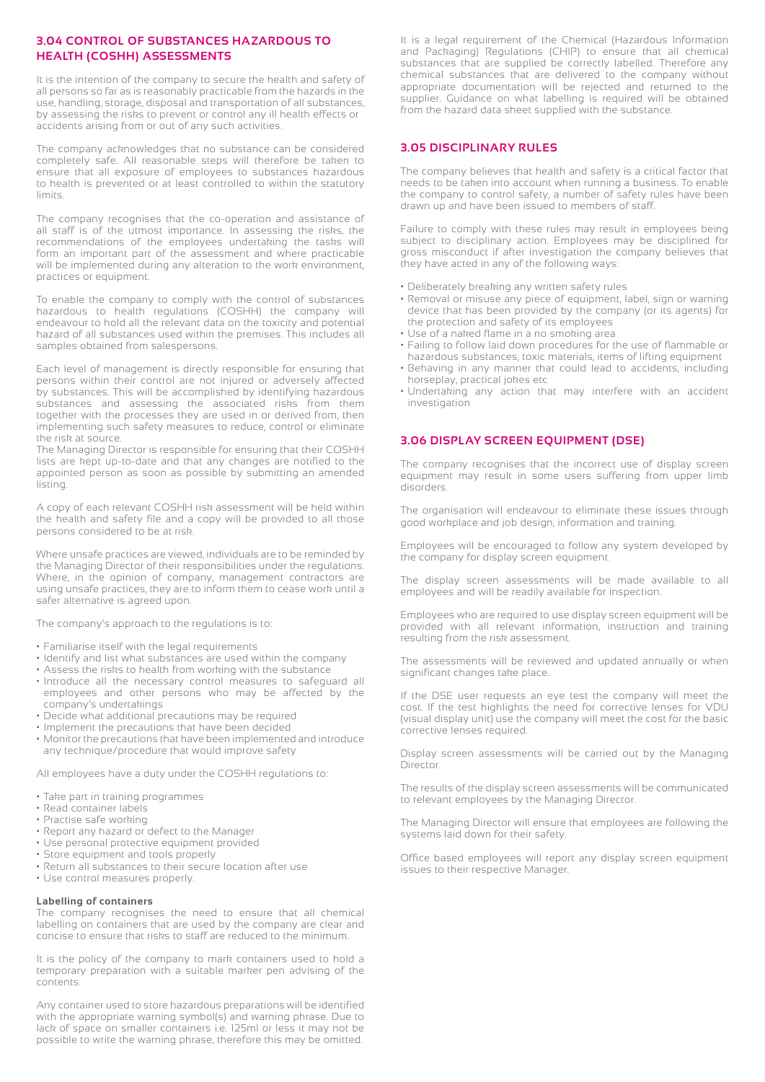# **3.04 CONTROL OF SUBSTANCES HAZARDOUS TO HEALTH (COSHH) ASSESSMENTS**

It is the intention of the company to secure the health and safety of all persons so far as is reasonably practicable from the hazards in the use, handling, storage, disposal and transportation of all substances, by assessing the risks to prevent or control any ill health effects or accidents arising from or out of any such activities.

The company acknowledges that no substance can be considered completely safe. All reasonable steps will therefore be taken to ensure that all exposure of employees to substances hazardous to health is prevented or at least controlled to within the statutory limits.

The company recognises that the co-operation and assistance of all staff is of the utmost importance. In assessing the risks, the recommendations of the employees undertaking the tasks will form an important part of the assessment and where practicable will be implemented during any alteration to the work environment, practices or equipment.

To enable the company to comply with the control of substances hazardous to health regulations (COSHH) the company will endeavour to hold all the relevant data on the toxicity and potential hazard of all substances used within the premises. This includes all samples obtained from salespersons.

Each level of management is directly responsible for ensuring that persons within their control are not injured or adversely affected by substances. This will be accomplished by identifying hazardous substances and assessing the associated risks from them together with the processes they are used in or derived from, then implementing such safety measures to reduce, control or eliminate the risk at source.

The Managing Director is responsible for ensuring that their COSHH lists are kept up-to-date and that any changes are notified to the appointed person as soon as possible by submitting an amended listing.

A copy of each relevant COSHH risk assessment will be held within the health and safety file and a copy will be provided to all those persons considered to be at risk.

Where unsafe practices are viewed, individuals are to be reminded by the Managing Director of their responsibilities under the regulations. Where, in the opinion of company, management contractors are using unsafe practices, they are to inform them to cease work until a safer alternative is agreed upon.

The company's approach to the regulations is to:

- Familiarise itself with the legal requirements
- Identify and list what substances are used within the company
- Assess the risks to health from working with the substance
- Introduce all the necessary control measures to safeguard all employees and other persons who may be affected by the company's undertakings
- Decide what additional precautions may be required
- Implement the precautions that have been decided
- Monitor the precautions that have been implemented and introduce any technique/procedure that would improve safety

All employees have a duty under the COSHH regulations to:

- Take part in training programmes
- Read container labels
- Practise safe working
- Report any hazard or defect to the Manager
- Use personal protective equipment provided
- Store equipment and tools properly
- Return all substances to their secure location after use
- Use control measures properly.

# **Labelling of containers**

The company recognises the need to ensure that all chemical labelling on containers that are used by the company are clear and concise to ensure that risks to staff are reduced to the minimum.

It is the policy of the company to mark containers used to hold a temporary preparation with a suitable marker pen advising of the contents.

Any container used to store hazardous preparations will be identified with the appropriate warning symbol(s) and warning phrase. Due to lack of space on smaller containers i.e. 125ml or less it may not be possible to write the warning phrase, therefore this may be omitted.

It is a legal requirement of the Chemical (Hazardous Information and Packaging) Regulations (CHIP) to ensure that all chemical substances that are supplied be correctly labelled. Therefore any chemical substances that are delivered to the company without appropriate documentation will be rejected and returned to the supplier. Guidance on what labelling is required will be obtained from the hazard data sheet supplied with the substance.

# **3.05 DISCIPLINARY RULES**

The company believes that health and safety is a critical factor that needs to be taken into account when running a business. To enable the company to control safety, a number of safety rules have been drawn up and have been issued to members of staff.

Failure to comply with these rules may result in employees being subject to disciplinary action. Employees may be disciplined for gross misconduct if after investigation the company believes that they have acted in any of the following ways:

- Deliberately breaking any written safety rules
- Removal or misuse any piece of equipment, label, sign or warning device that has been provided by the company (or its agents) for the protection and safety of its employees
- Use of a naked flame in a no smoking area
- Failing to follow laid down procedures for the use of flammable or hazardous substances, toxic materials, items of lifting equipment
- Behaving in any manner that could lead to accidents, including horseplay, practical jokes etc
- Undertaking any action that may interfere with an accident investigation

# **3.06 DISPLAY SCREEN EQUIPMENT (DSE)**

The company recognises that the incorrect use of display screen equipment may result in some users suffering from upper limb disorders.

The organisation will endeavour to eliminate these issues through good workplace and job design, information and training.

Employees will be encouraged to follow any system developed by the company for display screen equipment.

The display screen assessments will be made available to all employees and will be readily available for inspection.

Employees who are required to use display screen equipment will be provided with all relevant information, instruction and training resulting from the risk assessment.

The assessments will be reviewed and updated annually or when significant changes take place.

If the DSE user requests an eye test the company will meet the cost. If the test highlights the need for corrective lenses for VDU (visual display unit) use the company will meet the cost for the basic corrective lenses required.

Display screen assessments will be carried out by the Managing Director.

The results of the display screen assessments will be communicated to relevant employees by the Managing Director.

The Managing Director will ensure that employees are following the systems laid down for their safety.

Office based employees will report any display screen equipment issues to their respective Manager.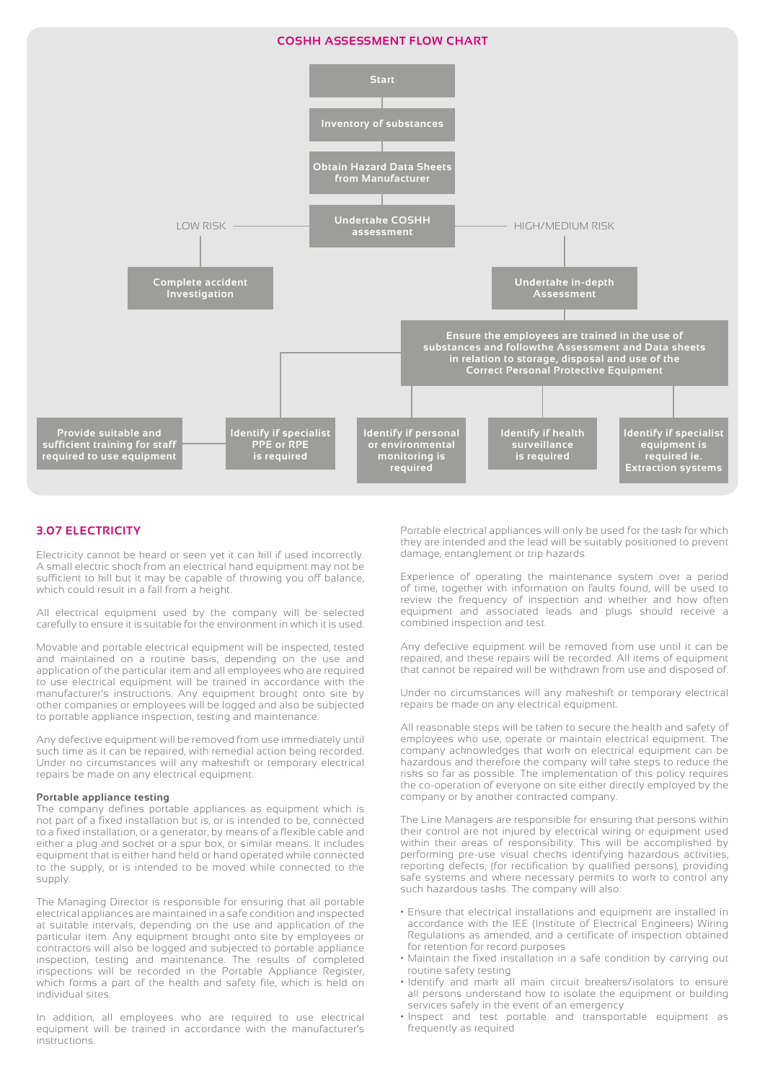

# **3.07 ELECTRICITY**

Electricity cannot be heard or seen yet it can kill if used incorrectly. A small electric shock from an electrical hand equipment may not be sufficient to kill but it may be capable of throwing you off balance, which could result in a fall from a height.

All electrical equipment used by the company will be selected carefully to ensure it is suitable for the environment in which it is used.

Movable and portable electrical equipment will be inspected, tested and maintained on a routine basis, depending on the use and application of the particular item and all employees who are required to use electrical equipment will be trained in accordance with the manufacturer's instructions. Any equipment brought onto site by other companies or employees will be logged and also be subjected to portable appliance inspection, testing and maintenance.

Any defective equipment will be removed from use immediately until such time as it can be repaired, with remedial action being recorded. Under no circumstances will any makeshift or temporary electrical repairs be made on any electrical equipment.

### **Portable appliance testing**

The company defines portable appliances as equipment which is not part of a fixed installation but is, or is intended to be, connected to a fixed installation, or a generator, by means of a flexible cable and either a plug and socket or a spur box, or similar means. It includes equipment that is either hand held or hand operated while connected to the supply, or is intended to be moved while connected to the supply.

The Managing Director is responsible for ensuring that all portable electrical appliances are maintained in a safe condition and inspected at suitable intervals, depending on the use and application of the particular item. Any equipment brought onto site by employees or contractors will also be logged and subjected to portable appliance inspection, testing and maintenance. The results of completed inspections will be recorded in the Portable Appliance Register, which forms a part of the health and safety file, which is held on individual sites.

In addition, all employees who are required to use electrical equipment will be trained in accordance with the manufacturer's instructions.

Portable electrical appliances will only be used for the task for which they are intended and the lead will be suitably positioned to prevent damage, entanglement or trip hazards.

Experience of operating the maintenance system over a period of time, together with information on faults found, will be used to review the frequency of inspection and whether and how often equipment and associated leads and plugs should receive a combined inspection and test.

Any defective equipment will be removed from use until it can be repaired, and these repairs will be recorded. All items of equipment that cannot be repaired will be withdrawn from use and disposed of.

Under no circumstances will any makeshift or temporary electrical repairs be made on any electrical equipment.

All reasonable steps will be taken to secure the health and safety of employees who use, operate or maintain electrical equipment. The company acknowledges that work on electrical equipment can be hazardous and therefore the company will take steps to reduce the risks so far as possible. The implementation of this policy requires the co-operation of everyone on site either directly employed by the company or by another contracted company.

The Line Managers are responsible for ensuring that persons within their control are not injured by electrical wiring or equipment used within their areas of responsibility. This will be accomplished by performing pre-use visual checks identifying hazardous activities, reporting defects, (for rectification by qualified persons), providing safe systems and where necessary permits to work to control any such hazardous tasks. The company will also:

- Ensure that electrical installations and equipment are installed in accordance with the IEE (Institute of Electrical Engineers) Wiring Regulations as amended, and a certificate of inspection obtained for retention for record purposes
- Maintain the fixed installation in a safe condition by carrying out routine safety testing
- Identify and mark all main circuit breakers/isolators to ensure all persons understand how to isolate the equipment or building services safely in the event of an emergency
- Inspect and test portable and transportable equipment as frequently as required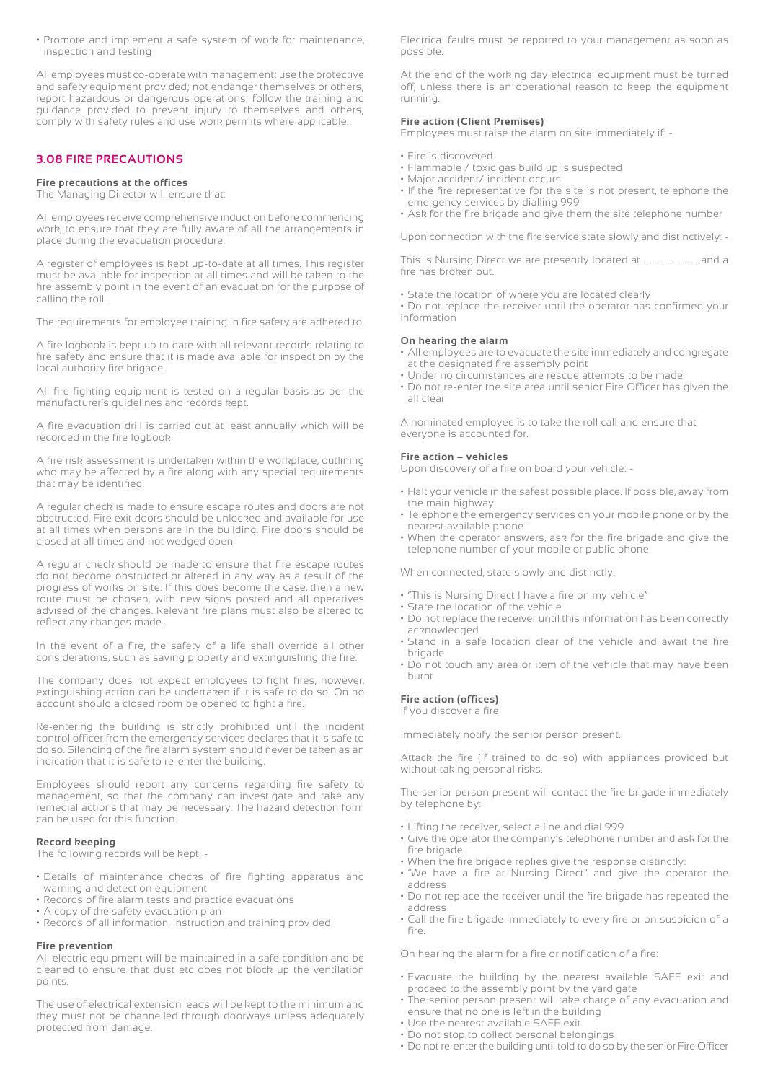• Promote and implement a safe system of work for maintenance, inspection and testing

All employees must co-operate with management; use the protective and safety equipment provided; not endanger themselves or others; report hazardous or dangerous operations; follow the training and guidance provided to prevent injury to themselves and others; comply with safety rules and use work permits where applicable.

# **3.08 FIRE PRECAUTIONS**

### **Fire precautions at the offices**

The Managing Director will ensure that:

All employees receive comprehensive induction before commencing work, to ensure that they are fully aware of all the arrangements in place during the evacuation procedure.

A register of employees is kept up-to-date at all times. This register must be available for inspection at all times and will be taken to the fire assembly point in the event of an evacuation for the purpose of calling the roll.

The requirements for employee training in fire safety are adhered to.

A fire logbook is kept up to date with all relevant records relating to fire safety and ensure that it is made available for inspection by the local authority fire brigade.

All fire-fighting equipment is tested on a regular basis as per the manufacturer's guidelines and records kept.

A fire evacuation drill is carried out at least annually which will be recorded in the fire logbook.

A fire risk assessment is undertaken within the workplace, outlining who may be affected by a fire along with any special requirements that may be identified.

A regular check is made to ensure escape routes and doors are not obstructed. Fire exit doors should be unlocked and available for use at all times when persons are in the building. Fire doors should be closed at all times and not wedged open.

A regular check should be made to ensure that fire escape routes do not become obstructed or altered in any way as a result of the progress of works on site. If this does become the case, then a new route must be chosen, with new signs posted and all operatives advised of the changes. Relevant fire plans must also be altered to reflect any changes made.

In the event of a fire, the safety of a life shall override all other considerations, such as saving property and extinguishing the fire.

The company does not expect employees to fight fires, however, extinguishing action can be undertaken if it is safe to do so. On no account should a closed room be opened to fight a fire.

Re-entering the building is strictly prohibited until the incident control officer from the emergency services declares that it is safe to do so. Silencing of the fire alarm system should never be taken as an indication that it is safe to re-enter the building.

Employees should report any concerns regarding fire safety to management, so that the company can investigate and take any remedial actions that may be necessary. The hazard detection form can be used for this function.

### **Record keeping**

The following records will be kept: -

- Details of maintenance checks of fire fighting apparatus and warning and detection equipment
- Records of fire alarm tests and practice evacuations
- A copy of the safety evacuation plan
- Records of all information, instruction and training provided

### **Fire prevention**

All electric equipment will be maintained in a safe condition and be cleaned to ensure that dust etc does not block up the ventilation points.

The use of electrical extension leads will be kept to the minimum and they must not be channelled through doorways unless adequately protected from damage.

Electrical faults must be reported to your management as soon as possible.

At the end of the working day electrical equipment must be turned off, unless there is an operational reason to keep the equipment running.

### **Fire action (Client Premises)**

Employees must raise the alarm on site immediately if: -

- Fire is discovered
- Flammable / toxic gas build up is suspected
- Major accident/ incident occurs
- If the fire representative for the site is not present, telephone the emergency services by dialling 999
- Ask for the fire brigade and give them the site telephone number

Upon connection with the fire service state slowly and distinctively: -

This is Nursing Direct we are presently located at ……………………….. and a fire has broken out.

- State the location of where you are located clearly
- Do not replace the receiver until the operator has confirmed your information

### **On hearing the alarm**

- All employees are to evacuate the site immediately and congregate at the designated fire assembly point
- Under no circumstances are rescue attempts to be made
- Do not re-enter the site area until senior Fire Officer has given the all clear

A nominated employee is to take the roll call and ensure that everyone is accounted for.

# **Fire action – vehicles**

Upon discovery of a fire on board your vehicle: -

- Halt your vehicle in the safest possible place. If possible, away from the main highway
- Telephone the emergency services on your mobile phone or by the nearest available phone
- When the operator answers, ask for the fire brigade and give the telephone number of your mobile or public phone

When connected, state slowly and distinctly:

- "This is Nursing Direct I have a fire on my vehicle"
- State the location of the vehicle
- Do not replace the receiver until this information has been correctly acknowledged
- Stand in a safe location clear of the vehicle and await the fire brigade
- Do not touch any area or item of the vehicle that may have been burnt

### **Fire action (offices)**

If you discover a fire:

Immediately notify the senior person present.

Attack the fire (if trained to do so) with appliances provided but without taking personal risks.

The senior person present will contact the fire brigade immediately by telephone by:

- Lifting the receiver, select a line and dial 999
- Give the operator the company's telephone number and ask for the fire brigade
- When the fire brigade replies give the response distinctly:
- "We have a fire at Nursing Direct" and give the operator the address
- Do not replace the receiver until the fire brigade has repeated the address
- Call the fire brigade immediately to every fire or on suspicion of a fire.

On hearing the alarm for a fire or notification of a fire:

- Evacuate the building by the nearest available SAFE exit and proceed to the assembly point by the yard gate
- The senior person present will take charge of any evacuation and ensure that no one is left in the building
- Use the nearest available SAFE exit
- Do not stop to collect personal belongings
- Do not re-enter the building until told to do so by the senior Fire Officer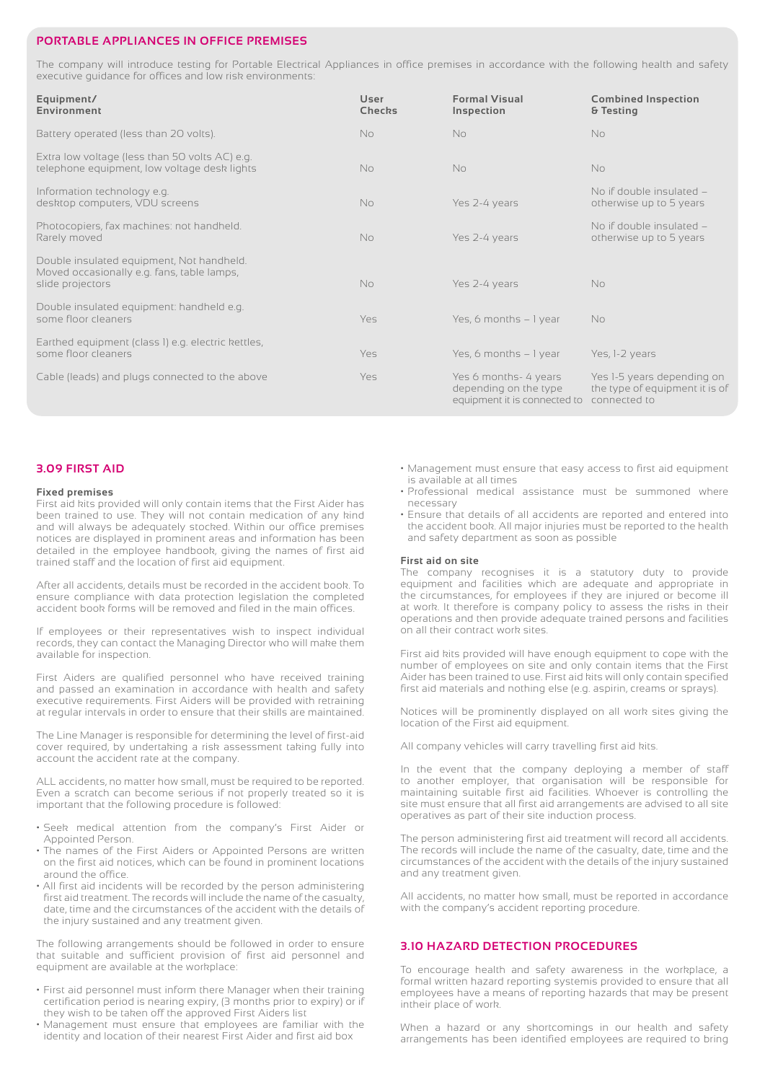# **PORTABLE APPLIANCES IN OFFICE PREMISES**

The company will introduce testing for Portable Electrical Appliances in office premises in accordance with the following health and safety executive guidance for offices and low risk environments:

| Equipment/<br>Environment                                                                                   | User<br><b>Checks</b> | <b>Formal Visual</b><br>Inspection                                             | <b>Combined Inspection</b><br>& Testing                                      |
|-------------------------------------------------------------------------------------------------------------|-----------------------|--------------------------------------------------------------------------------|------------------------------------------------------------------------------|
| Battery operated (less than 20 volts).                                                                      | <b>No</b>             | <b>No</b>                                                                      | No.                                                                          |
| Extra low voltage (less than 50 volts AC) e.g.<br>telephone equipment, low voltage desk lights              | <b>No</b>             | <b>No</b>                                                                      | <b>No</b>                                                                    |
| Information technology e.g.<br>desktop computers, VDU screens                                               | <b>No</b>             | Yes 2-4 years                                                                  | No if double insulated -<br>otherwise up to 5 years                          |
| Photocopiers, fax machines: not handheld.<br>Rarely moved                                                   | <b>No</b>             | Yes 2-4 years                                                                  | No if double insulated -<br>otherwise up to 5 years                          |
| Double insulated equipment, Not handheld.<br>Moved occasionally e.g. fans, table lamps,<br>slide projectors | <b>No</b>             | Yes 2-4 years                                                                  | No                                                                           |
| Double insulated equipment: handheld e.g.<br>some floor cleaners                                            | <b>Yes</b>            | Yes, 6 months - I year                                                         | <b>No</b>                                                                    |
| Earthed equipment (class I) e.g. electric kettles,<br>some floor cleaners                                   | <b>Yes</b>            | Yes, 6 months - I year                                                         | Yes, 1-2 years                                                               |
| Cable (leads) and plugs connected to the above                                                              | <b>Yes</b>            | Yes 6 months- 4 years<br>depending on the type<br>equipment it is connected to | Yes 1-5 years depending on<br>the type of equipment it is of<br>connected to |

# **3.09 FIRST AID**

### **Fixed premises**

First aid kits provided will only contain items that the First Aider has been trained to use. They will not contain medication of any kind and will always be adequately stocked. Within our office premises notices are displayed in prominent areas and information has been detailed in the employee handbook, giving the names of first aid trained staff and the location of first aid equipment.

After all accidents, details must be recorded in the accident book. To ensure compliance with data protection legislation the completed accident book forms will be removed and filed in the main offices.

If employees or their representatives wish to inspect individual records, they can contact the Managing Director who will make them available for inspection.

First Aiders are qualified personnel who have received training and passed an examination in accordance with health and safety executive requirements. First Aiders will be provided with retraining at regular intervals in order to ensure that their skills are maintained.

The Line Manager is responsible for determining the level of first-aid cover required, by undertaking a risk assessment taking fully into account the accident rate at the company.

ALL accidents, no matter how small, must be required to be reported. Even a scratch can become serious if not properly treated so it is important that the following procedure is followed:

- Seek medical attention from the company's First Aider or Appointed Person.
- The names of the First Aiders or Appointed Persons are written on the first aid notices, which can be found in prominent locations around the office.
- All first aid incidents will be recorded by the person administering first aid treatment. The records will include the name of the casualty, date, time and the circumstances of the accident with the details of the injury sustained and any treatment given.

The following arrangements should be followed in order to ensure that suitable and sufficient provision of first aid personnel and equipment are available at the workplace:

- First aid personnel must inform there Manager when their training certification period is nearing expiry, (3 months prior to expiry) or if they wish to be taken off the approved First Aiders list
- Management must ensure that employees are familiar with the identity and location of their nearest First Aider and first aid box
- Management must ensure that easy access to first aid equipment is available at all times
- Professional medical assistance must be summoned where necessary
- Ensure that details of all accidents are reported and entered into the accident book. All major injuries must be reported to the health and safety department as soon as possible

### **First aid on site**

The company recognises it is a statutory duty to provide equipment and facilities which are adequate and appropriate in the circumstances, for employees if they are injured or become ill at work. It therefore is company policy to assess the risks in their operations and then provide adequate trained persons and facilities on all their contract work sites.

First aid kits provided will have enough equipment to cope with the number of employees on site and only contain items that the First Aider has been trained to use. First aid kits will only contain specified first aid materials and nothing else (e.g. aspirin, creams or sprays).

Notices will be prominently displayed on all work sites giving the location of the First aid equipment.

All company vehicles will carry travelling first aid kits.

In the event that the company deploying a member of staff to another employer, that organisation will be responsible for maintaining suitable first aid facilities. Whoever is controlling the site must ensure that all first aid arrangements are advised to all site operatives as part of their site induction process.

The person administering first aid treatment will record all accidents. The records will include the name of the casualty, date, time and the circumstances of the accident with the details of the injury sustained and any treatment given.

All accidents, no matter how small, must be reported in accordance with the company's accident reporting procedure.

### **3.10 HAZARD DETECTION PROCEDURES**

To encourage health and safety awareness in the workplace, a formal written hazard reporting systemis provided to ensure that all employees have a means of reporting hazards that may be present intheir place of work.

When a hazard or any shortcomings in our health and safety arrangements has been identified employees are required to bring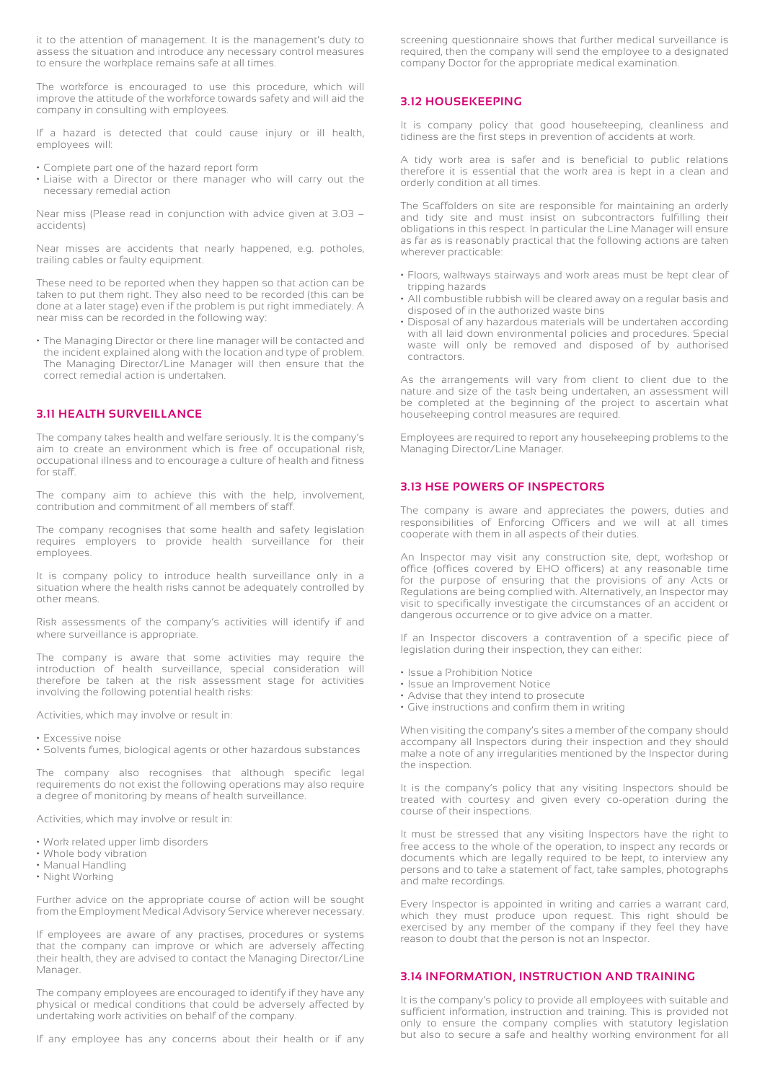it to the attention of management. It is the management's duty to assess the situation and introduce any necessary control measures to ensure the workplace remains safe at all times.

The workforce is encouraged to use this procedure, which will improve the attitude of the workforce towards safety and will aid the company in consulting with employees.

If a hazard is detected that could cause injury or ill health, employees will:

- Complete part one of the hazard report form
- Liaise with a Director or there manager who will carry out the necessary remedial action

Near miss (Please read in conjunction with advice given at 3.03 – accidents)

Near misses are accidents that nearly happened, e.g. potholes, trailing cables or faulty equipment.

These need to be reported when they happen so that action can be taken to put them right. They also need to be recorded (this can be done at a later stage) even if the problem is put right immediately. A near miss can be recorded in the following way:

• The Managing Director or there line manager will be contacted and the incident explained along with the location and type of problem. The Managing Director/Line Manager will then ensure that the correct remedial action is undertaken.

# **3.11 HEALTH SURVEILLANCE**

The company takes health and welfare seriously. It is the company's aim to create an environment which is free of occupational risk, occupational illness and to encourage a culture of health and fitness for staff.

The company aim to achieve this with the help, involvement, contribution and commitment of all members of staff.

The company recognises that some health and safety legislation requires employers to provide health surveillance for their employees.

It is company policy to introduce health surveillance only in a situation where the health risks cannot be adequately controlled by other means.

Risk assessments of the company's activities will identify if and where surveillance is appropriate.

The company is aware that some activities may require the introduction of health surveillance, special consideration will therefore be taken at the risk assessment stage for activities involving the following potential health risks:

Activities, which may involve or result in:

- Excessive noise
- Solvents fumes, biological agents or other hazardous substances

The company also recognises that although specific legal requirements do not exist the following operations may also require a degree of monitoring by means of health surveillance.

Activities, which may involve or result in:

- Work related upper limb disorders
- Whole body vibration
- Manual Handling
- Night Working

Further advice on the appropriate course of action will be sought from the Employment Medical Advisory Service wherever necessary.

If employees are aware of any practises, procedures or systems that the company can improve or which are adversely affecting their health, they are advised to contact the Managing Director/Line Manager.

The company employees are encouraged to identify if they have any physical or medical conditions that could be adversely affected by undertaking work activities on behalf of the company.

If any employee has any concerns about their health or if any

screening questionnaire shows that further medical surveillance is required, then the company will send the employee to a designated company Doctor for the appropriate medical examination.

# **3.12 HOUSEKEEPING**

It is company policy that good housekeeping, cleanliness and tidiness are the first steps in prevention of accidents at work.

A tidy work area is safer and is beneficial to public relations therefore it is essential that the work area is kept in a clean and orderly condition at all times.

The Scaffolders on site are responsible for maintaining an orderly and tidy site and must insist on subcontractors fulfilling their obligations in this respect. In particular the Line Manager will ensure as far as is reasonably practical that the following actions are taken wherever practicable:

- Floors, walkways stairways and work areas must be kept clear of tripping hazards
- All combustible rubbish will be cleared away on a regular basis and disposed of in the authorized waste bins
- Disposal of any hazardous materials will be undertaken according with all laid down environmental policies and procedures. Special waste will only be removed and disposed of by authorised contractors.

As the arrangements will vary from client to client due to the nature and size of the task being undertaken, an assessment will be completed at the beginning of the project to ascertain what housekeeping control measures are required.

Employees are required to report any housekeeping problems to the Managing Director/Line Manager.

# **3.13 HSE POWERS OF INSPECTORS**

The company is aware and appreciates the powers, duties and responsibilities of Enforcing Officers and we will at all times cooperate with them in all aspects of their duties.

An Inspector may visit any construction site, dept, workshop or office (offices covered by EHO officers) at any reasonable time for the purpose of ensuring that the provisions of any Acts or Regulations are being complied with. Alternatively, an Inspector may visit to specifically investigate the circumstances of an accident or dangerous occurrence or to give advice on a matter.

If an Inspector discovers a contravention of a specific piece of legislation during their inspection, they can either:

- Issue a Prohibition Notice
- Issue an Improvement Notice
- Advise that they intend to prosecute
- Give instructions and confirm them in writing

When visiting the company's sites a member of the company should accompany all Inspectors during their inspection and they should make a note of any irregularities mentioned by the Inspector during the inspection.

It is the company's policy that any visiting Inspectors should be treated with courtesy and given every co-operation during the course of their inspections.

It must be stressed that any visiting Inspectors have the right to free access to the whole of the operation, to inspect any records or documents which are legally required to be kept, to interview any persons and to take a statement of fact, take samples, photographs and make recordings.

Every Inspector is appointed in writing and carries a warrant card, which they must produce upon request. This right should be exercised by any member of the company if they feel they have reason to doubt that the person is not an Inspector.

# **3.14 INFORMATION, INSTRUCTION AND TRAINING**

It is the company's policy to provide all employees with suitable and sufficient information, instruction and training. This is provided not only to ensure the company complies with statutory legislation but also to secure a safe and healthy working environment for all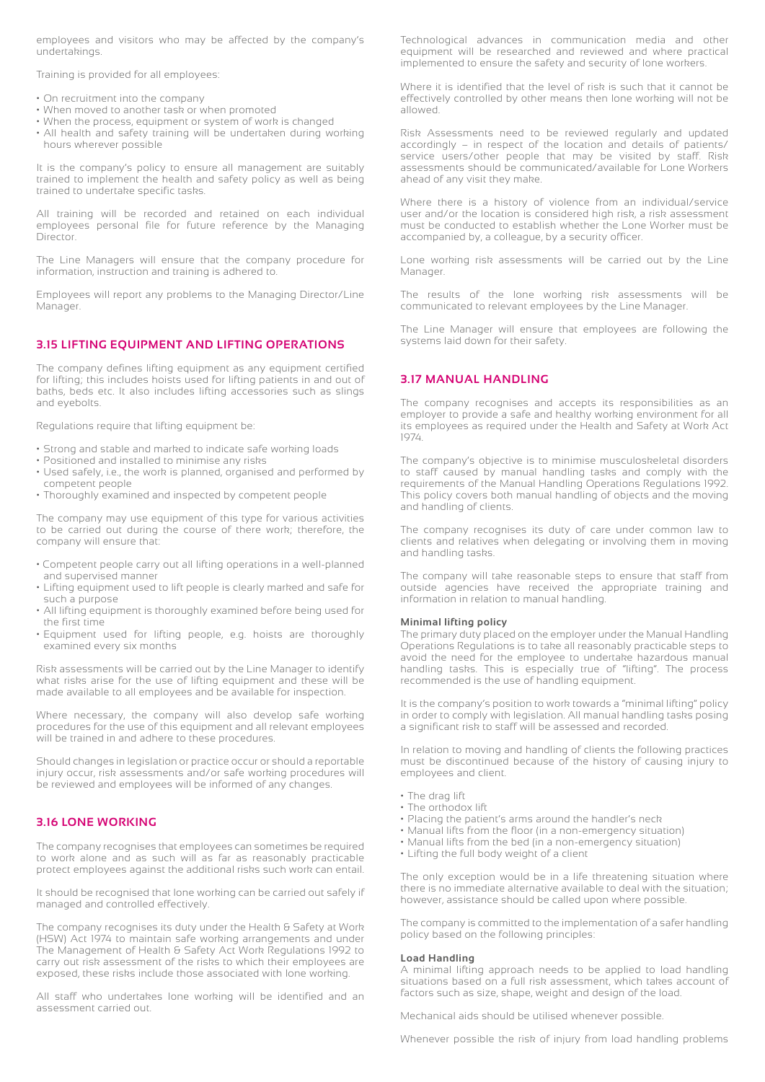employees and visitors who may be affected by the company's undertakings.

Training is provided for all employees:

- On recruitment into the company
- When moved to another task or when promoted
- When the process, equipment or system of work is changed
- All health and safety training will be undertaken during working hours wherever possible

It is the company's policy to ensure all management are suitably trained to implement the health and safety policy as well as being trained to undertake specific tasks.

All training will be recorded and retained on each individual employees personal file for future reference by the Managing Director.

The Line Managers will ensure that the company procedure for information, instruction and training is adhered to.

Employees will report any problems to the Managing Director/Line Manager.

# **3.15 LIFTING EQUIPMENT AND LIFTING OPERATIONS**

The company defines lifting equipment as any equipment certified for lifting; this includes hoists used for lifting patients in and out of baths, beds etc. It also includes lifting accessories such as slings and eyebolts.

Regulations require that lifting equipment be:

- Strong and stable and marked to indicate safe working loads
- Positioned and installed to minimise any risks
- Used safely, i.e., the work is planned, organised and performed by competent people
- Thoroughly examined and inspected by competent people

The company may use equipment of this type for various activities to be carried out during the course of there work; therefore, the company will ensure that:

- Competent people carry out all lifting operations in a well-planned and supervised manner
- Lifting equipment used to lift people is clearly marked and safe for such a purpose
- All lifting equipment is thoroughly examined before being used for the first time
- Equipment used for lifting people, e.g. hoists are thoroughly examined every six months

Risk assessments will be carried out by the Line Manager to identify what risks arise for the use of lifting equipment and these will be made available to all employees and be available for inspection.

Where necessary, the company will also develop safe working procedures for the use of this equipment and all relevant employees will be trained in and adhere to these procedures.

Should changes in legislation or practice occur or should a reportable injury occur, risk assessments and/or safe working procedures will be reviewed and employees will be informed of any changes.

# **3.16 LONE WORKING**

The company recognises that employees can sometimes be required to work alone and as such will as far as reasonably practicable protect employees against the additional risks such work can entail.

It should be recognised that lone working can be carried out safely if managed and controlled effectively.

The company recognises its duty under the Health & Safety at Work (HSW) Act 1974 to maintain safe working arrangements and under The Management of Health & Safety Act Work Regulations 1992 to carry out risk assessment of the risks to which their employees are exposed, these risks include those associated with lone working.

All staff who undertakes lone working will be identified and an assessment carried out.

Technological advances in communication media and other equipment will be researched and reviewed and where practical implemented to ensure the safety and security of lone workers.

Where it is identified that the level of risk is such that it cannot be effectively controlled by other means then lone working will not be allowed.

Risk Assessments need to be reviewed regularly and updated accordingly – in respect of the location and details of patients/ service users/other people that may be visited by staff. Risk assessments should be communicated/available for Lone Workers ahead of any visit they make.

Where there is a history of violence from an individual/service user and/or the location is considered high risk, a risk assessment must be conducted to establish whether the Lone Worker must be accompanied by, a colleague, by a security officer.

Lone working risk assessments will be carried out by the Line Manager.

The results of the lone working risk assessments will be communicated to relevant employees by the Line Manager.

The Line Manager will ensure that employees are following the systems laid down for their safety.

# **3.17 MANUAL HANDLING**

The company recognises and accepts its responsibilities as an employer to provide a safe and healthy working environment for all its employees as required under the Health and Safety at Work Act 1974.

The company's objective is to minimise musculoskeletal disorders to staff caused by manual handling tasks and comply with the requirements of the Manual Handling Operations Regulations 1992. This policy covers both manual handling of objects and the moving and handling of clients.

The company recognises its duty of care under common law to clients and relatives when delegating or involving them in moving and handling tasks.

The company will take reasonable steps to ensure that staff from outside agencies have received the appropriate training and information in relation to manual handling.

### **Minimal lifting policy**

The primary duty placed on the employer under the Manual Handling Operations Regulations is to take all reasonably practicable steps to avoid the need for the employee to undertake hazardous manual handling tasks. This is especially true of "lifting". The process recommended is the use of handling equipment.

It is the company's position to work towards a "minimal lifting" policy in order to comply with legislation. All manual handling tasks posing a significant risk to staff will be assessed and recorded.

In relation to moving and handling of clients the following practices must be discontinued because of the history of causing injury to employees and client.

- The drag lift
- The orthodox lift
- Placing the patient's arms around the handler's neck
- Manual lifts from the floor (in a non-emergency situation)
- Manual lifts from the bed (in a non-emergency situation)
- Lifting the full body weight of a client

The only exception would be in a life threatening situation where there is no immediate alternative available to deal with the situation; however, assistance should be called upon where possible.

The company is committed to the implementation of a safer handling policy based on the following principles:

### **Load Handling**

A minimal lifting approach needs to be applied to load handling situations based on a full risk assessment, which takes account of factors such as size, shape, weight and design of the load.

Mechanical aids should be utilised whenever possible.

Whenever possible the risk of injury from load handling problems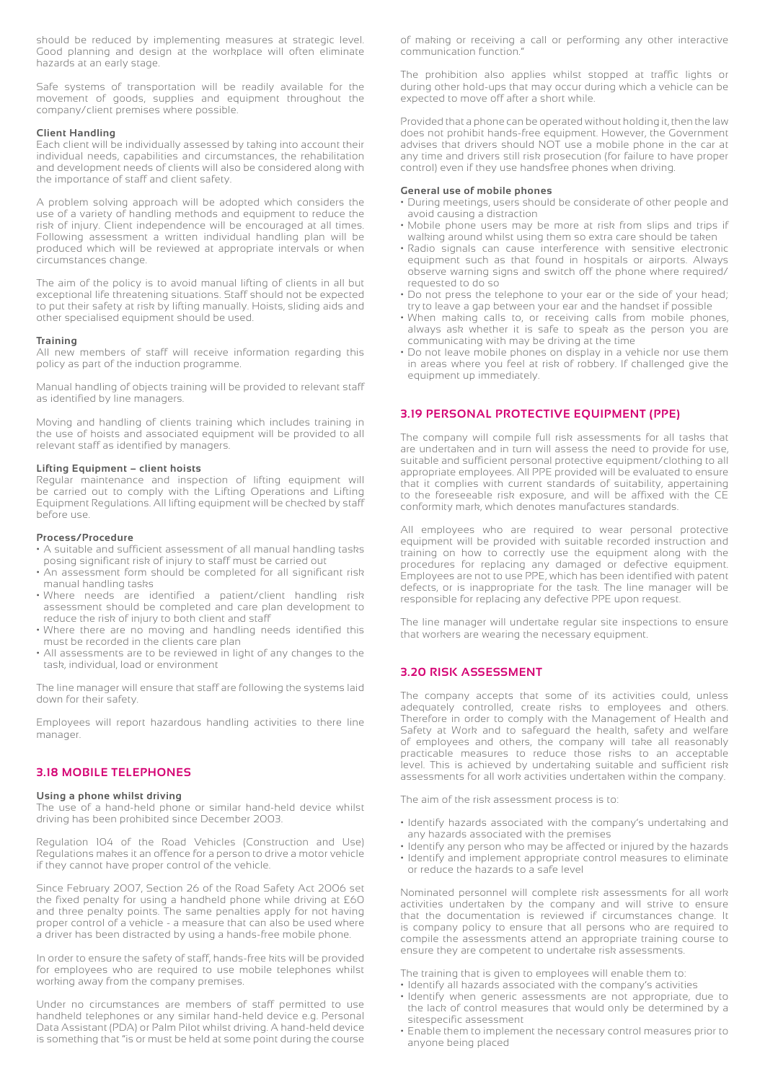should be reduced by implementing measures at strategic level. Good planning and design at the workplace will often eliminate hazards at an early stage.

Safe systems of transportation will be readily available for the movement of goods, supplies and equipment throughout the company/client premises where possible.

# **Client Handling**

Each client will be individually assessed by taking into account their individual needs, capabilities and circumstances, the rehabilitation and development needs of clients will also be considered along with the importance of staff and client safety.

A problem solving approach will be adopted which considers the use of a variety of handling methods and equipment to reduce the risk of injury. Client independence will be encouraged at all times. Following assessment a written individual handling plan will be produced which will be reviewed at appropriate intervals or when circumstances change.

The aim of the policy is to avoid manual lifting of clients in all but exceptional life threatening situations. Staff should not be expected to put their safety at risk by lifting manually. Hoists, sliding aids and other specialised equipment should be used.

### **Training**

All new members of staff will receive information regarding this policy as part of the induction programme.

Manual handling of objects training will be provided to relevant staff as identified by line managers.

Moving and handling of clients training which includes training in the use of hoists and associated equipment will be provided to all relevant staff as identified by managers.

### **Lifting Equipment – client hoists**

Regular maintenance and inspection of lifting equipment will be carried out to comply with the Lifting Operations and Lifting Equipment Regulations. All lifting equipment will be checked by staff before use.

### **Process/Procedure**

- A suitable and sufficient assessment of all manual handling tasks posing significant risk of injury to staff must be carried out
- An assessment form should be completed for all significant risk manual handling tasks
- Where needs are identified a patient/client handling risk assessment should be completed and care plan development to reduce the risk of injury to both client and staff
- Where there are no moving and handling needs identified this must be recorded in the clients care plan
- All assessments are to be reviewed in light of any changes to the task, individual, load or environment

The line manager will ensure that staff are following the systems laid down for their safety.

Employees will report hazardous handling activities to there line manager.

# **3.18 MOBILE TELEPHONES**

### **Using a phone whilst driving**

The use of a hand-held phone or similar hand-held device whilst driving has been prohibited since December 2003.

Regulation 104 of the Road Vehicles (Construction and Use) Regulations makes it an offence for a person to drive a motor vehicle if they cannot have proper control of the vehicle.

Since February 2007, Section 26 of the Road Safety Act 2006 set the fixed penalty for using a handheld phone while driving at £60 and three penalty points. The same penalties apply for not having proper control of a vehicle - a measure that can also be used where a driver has been distracted by using a hands-free mobile phone.

In order to ensure the safety of staff, hands-free kits will be provided for employees who are required to use mobile telephones whilst working away from the company premises.

Under no circumstances are members of staff permitted to use handheld telephones or any similar hand-held device e.g. Personal Data Assistant (PDA) or Palm Pilot whilst driving. A hand-held device is something that "is or must be held at some point during the course

of making or receiving a call or performing any other interactive communication function."

The prohibition also applies whilst stopped at traffic lights or during other hold-ups that may occur during which a vehicle can be expected to move off after a short while.

Provided that a phone can be operated without holding it, then the law does not prohibit hands-free equipment. However, the Government advises that drivers should NOT use a mobile phone in the car at any time and drivers still risk prosecution (for failure to have proper control) even if they use handsfree phones when driving.

### **General use of mobile phones**

- During meetings, users should be considerate of other people and avoid causing a distraction
- Mobile phone users may be more at risk from slips and trips if walking around whilst using them so extra care should be taken
- Radio signals can cause interference with sensitive electronic equipment such as that found in hospitals or airports. Always observe warning signs and switch off the phone where required/ requested to do so
- Do not press the telephone to your ear or the side of your head; try to leave a gap between your ear and the handset if possible
- When making calls to, or receiving calls from mobile phones, always ask whether it is safe to speak as the person you are communicating with may be driving at the time
- Do not leave mobile phones on display in a vehicle nor use them in areas where you feel at risk of robbery. If challenged give the equipment up immediately.

# **3.19 PERSONAL PROTECTIVE EQUIPMENT (PPE)**

The company will compile full risk assessments for all tasks that are undertaken and in turn will assess the need to provide for use, suitable and sufficient personal protective equipment/clothing to all appropriate employees. All PPE provided will be evaluated to ensure that it complies with current standards of suitability, appertaining to the foreseeable risk exposure, and will be affixed with the CE conformity mark, which denotes manufactures standards.

All employees who are required to wear personal protective equipment will be provided with suitable recorded instruction and training on how to correctly use the equipment along with the procedures for replacing any damaged or defective equipment. Employees are not to use PPE, which has been identified with patent defects, or is inappropriate for the task. The line manager will be responsible for replacing any defective PPE upon request.

The line manager will undertake regular site inspections to ensure that workers are wearing the necessary equipment.

# **3.20 RISK ASSESSMENT**

The company accepts that some of its activities could, unless adequately controlled, create risks to employees and others. Therefore in order to comply with the Management of Health and Safety at Work and to safeguard the health, safety and welfare of employees and others, the company will take all reasonably practicable measures to reduce those risks to an acceptable level. This is achieved by undertaking suitable and sufficient risk assessments for all work activities undertaken within the company.

The aim of the risk assessment process is to:

- Identify hazards associated with the company's undertaking and any hazards associated with the premises
- Identify any person who may be affected or injured by the hazards • Identify and implement appropriate control measures to eliminate
- or reduce the hazards to a safe level

Nominated personnel will complete risk assessments for all work activities undertaken by the company and will strive to ensure that the documentation is reviewed if circumstances change. It is company policy to ensure that all persons who are required to compile the assessments attend an appropriate training course to ensure they are competent to undertake risk assessments.

The training that is given to employees will enable them to:

- Identify all hazards associated with the company's activities • Identify when generic assessments are not appropriate, due to
- the lack of control measures that would only be determined by a sitespecific assessment • Enable them to implement the necessary control measures prior to
- anyone being placed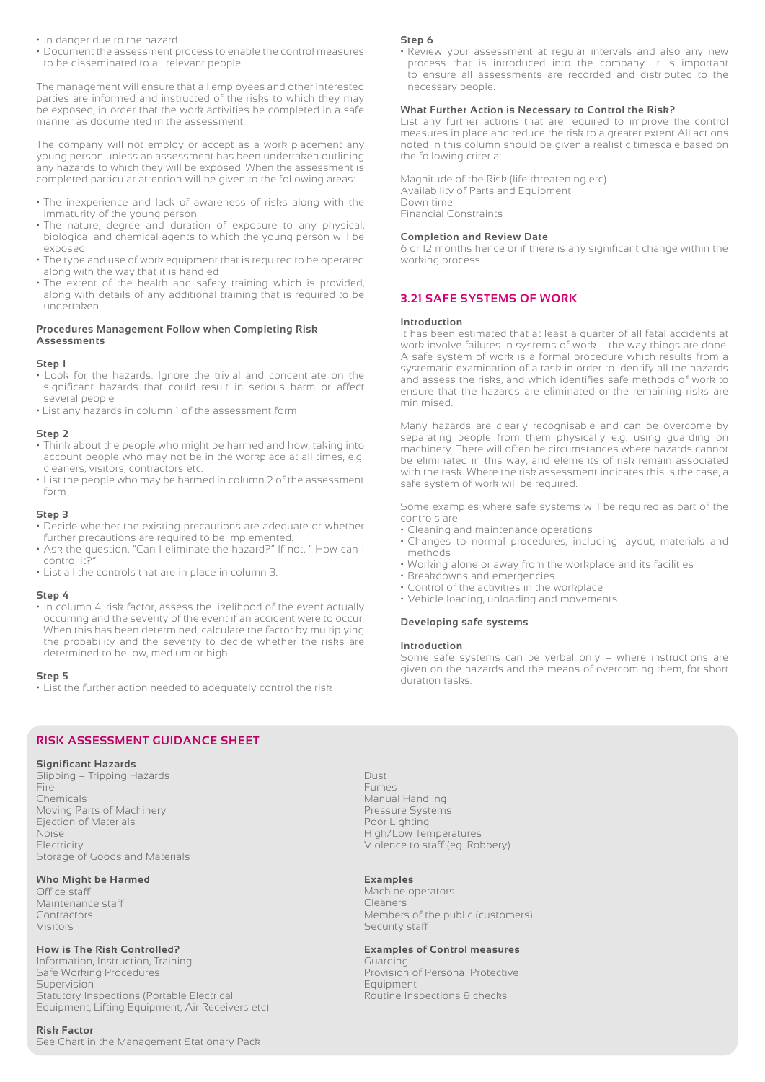- In danger due to the hazard
- Document the assessment process to enable the control measures to be disseminated to all relevant people

The management will ensure that all employees and other interested parties are informed and instructed of the risks to which they may be exposed, in order that the work activities be completed in a safe manner as documented in the assessment.

The company will not employ or accept as a work placement any young person unless an assessment has been undertaken outlining any hazards to which they will be exposed. When the assessment is completed particular attention will be given to the following areas:

- The inexperience and lack of awareness of risks along with the immaturity of the young person
- The nature, degree and duration of exposure to any physical, biological and chemical agents to which the young person will be exposed
- The type and use of work equipment that is required to be operated along with the way that it is handled
- The extent of the health and safety training which is provided, along with details of any additional training that is required to be undertaken

# **Procedures Management Follow when Completing Risk Assessments**

### **Step 1**

- Look for the hazards. Ignore the trivial and concentrate on the significant hazards that could result in serious harm or affect several people
- List any hazards in column 1 of the assessment form

### **Step 2**

- Think about the people who might be harmed and how, taking into account people who may not be in the workplace at all times, e.g. cleaners, visitors, contractors etc.
- List the people who may be harmed in column 2 of the assessment form

### **Step 3**

- Decide whether the existing precautions are adequate or whether further precautions are required to be implemented.
- Ask the question, "Can I eliminate the hazard?" If not, " How can I control it?"
- List all the controls that are in place in column 3.

### **Step 4**

• In column 4, risk factor, assess the likelihood of the event actually occurring and the severity of the event if an accident were to occur. When this has been determined, calculate the factor by multiplying the probability and the severity to decide whether the risks are determined to be low, medium or high.

### **Step 5**

• List the further action needed to adequately control the risk

### **Step 6**

• Review your assessment at regular intervals and also any new process that is introduced into the company. It is important to ensure all assessments are recorded and distributed to the necessary people.

### **What Further Action is Necessary to Control the Risk?**

List any further actions that are required to improve the control measures in place and reduce the risk to a greater extent All actions noted in this column should be given a realistic timescale based on the following criteria:

Magnitude of the Risk (life threatening etc) Availability of Parts and Equipment Down time Financial Constraints

### **Completion and Review Date**

6 or 12 months hence or if there is any significant change within the working process

# **3.21 SAFE SYSTEMS OF WORK**

### **Introduction**

It has been estimated that at least a quarter of all fatal accidents at work involve failures in systems of work – the way things are done. A safe system of work is a formal procedure which results from a systematic examination of a task in order to identify all the hazards and assess the risks, and which identifies safe methods of work to ensure that the hazards are eliminated or the remaining risks are minimised.

Many hazards are clearly recognisable and can be overcome by separating people from them physically e.g. using guarding on machinery. There will often be circumstances where hazards cannot be eliminated in this way, and elements of risk remain associated with the task. Where the risk assessment indicates this is the case, a safe system of work will be required.

Some examples where safe systems will be required as part of the controls are:

- Cleaning and maintenance operations
- Changes to normal procedures, including layout, materials and methods
- Working alone or away from the workplace and its facilities
- Breakdowns and emergencies
- Control of the activities in the workplace
- Vehicle loading, unloading and movements

### **Developing safe systems**

### **Introduction**

Some safe systems can be verbal only – where instructions are given on the hazards and the means of overcoming them, for short duration tasks.

# **RISK ASSESSMENT GUIDANCE SHEET**

### **Significant Hazards**

Slipping – Tripping Hazards Fire Chemicals Moving Parts of Machinery Ejection of Materials Noise Electricity Storage of Goods and Materials

# **Who Might be Harmed**

Office staff Maintenance staff Contractors Visitors

# **How is The Risk Controlled?**

Information, Instruction, Training Safe Working Procedures Supervision Statutory Inspections (Portable Electrical Equipment, Lifting Equipment, Air Receivers etc)

### **Risk Factor**

See Chart in the Management Stationary Pack

Dust Fumes Manual Handling Pressure Systems Poor Lighting High/Low Temperatures Violence to staff (eg. Robbery)

# **Examples**

Machine operators Cleaners Members of the public (customers) Security staff

# **Examples of Control measures**

Guarding Provision of Personal Protective Equipment Routine Inspections & checks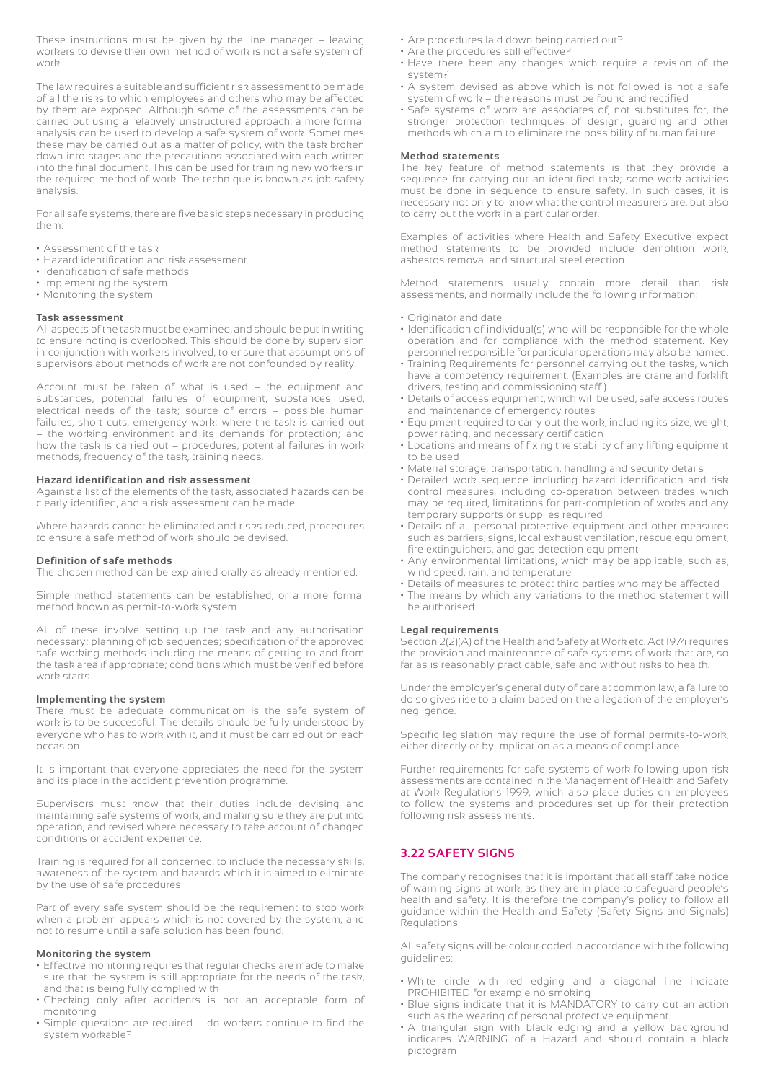These instructions must be given by the line manager – leaving workers to devise their own method of work is not a safe system of work.

The law requires a suitable and sufficient risk assessment to be made of all the risks to which employees and others who may be affected by them are exposed. Although some of the assessments can be carried out using a relatively unstructured approach, a more formal analysis can be used to develop a safe system of work. Sometimes these may be carried out as a matter of policy, with the task broken down into stages and the precautions associated with each written into the final document. This can be used for training new workers in the required method of work. The technique is known as job safety analysis.

For all safe systems, there are five basic steps necessary in producing them:

- Assessment of the task
- Hazard identification and risk assessment
- Identification of safe methods
- Implementing the system
- Monitoring the system

### **Task assessment**

All aspects of the task must be examined, and should be put in writing to ensure noting is overlooked. This should be done by supervision in conjunction with workers involved, to ensure that assumptions of supervisors about methods of work are not confounded by reality.

Account must be taken of what is used – the equipment and substances, potential failures of equipment, substances used, electrical needs of the task; source of errors – possible human failures, short cuts, emergency work; where the task is carried out – the working environment and its demands for protection; and how the task is carried out – procedures, potential failures in work methods, frequency of the task, training needs.

### **Hazard identification and risk assessment**

Against a list of the elements of the task, associated hazards can be clearly identified, and a risk assessment can be made.

Where hazards cannot be eliminated and risks reduced, procedures to ensure a safe method of work should be devised.

### **Definition of safe methods**

The chosen method can be explained orally as already mentioned.

Simple method statements can be established, or a more formal method known as permit-to-work system.

All of these involve setting up the task and any authorisation necessary; planning of job sequences; specification of the approved safe working methods including the means of getting to and from the task area if appropriate; conditions which must be verified before work starts.

### **Implementing the system**

There must be adequate communication is the safe system of work is to be successful. The details should be fully understood by everyone who has to work with it, and it must be carried out on each occasion.

It is important that everyone appreciates the need for the system and its place in the accident prevention programme.

Supervisors must know that their duties include devising and maintaining safe systems of work, and making sure they are put into operation, and revised where necessary to take account of changed conditions or accident experience.

Training is required for all concerned, to include the necessary skills, awareness of the system and hazards which it is aimed to eliminate by the use of safe procedures.

Part of every safe system should be the requirement to stop work when a problem appears which is not covered by the system, and not to resume until a safe solution has been found.

### **Monitoring the system**

- Effective monitoring requires that regular checks are made to make sure that the system is still appropriate for the needs of the task, and that is being fully complied with
- Checking only after accidents is not an acceptable form of monitoring
- Simple questions are required do workers continue to find the system workable?
- Are procedures laid down being carried out?
- Are the procedures still effective?
- Have there been any changes which require a revision of the system?
- A system devised as above which is not followed is not a safe system of work – the reasons must be found and rectified
- Safe systems of work are associates of, not substitutes for, the stronger protection techniques of design, guarding and other methods which aim to eliminate the possibility of human failure.

### **Method statements**

The key feature of method statements is that they provide a sequence for carrying out an identified task; some work activities must be done in sequence to ensure safety. In such cases, it is necessary not only to know what the control measurers are, but also to carry out the work in a particular order.

Examples of activities where Health and Safety Executive expect method statements to be provided include demolition work, asbestos removal and structural steel erection.

Method statements usually contain more detail than risk assessments, and normally include the following information:

- Originator and date
- Identification of individual(s) who will be responsible for the whole operation and for compliance with the method statement. Key personnel responsible for particular operations may also be named.
- Training Requirements for personnel carrying out the tasks, which have a competency requirement. (Examples are crane and forklift drivers, testing and commissioning staff.)
- Details of access equipment, which will be used, safe access routes and maintenance of emergency routes
- Equipment required to carry out the work, including its size, weight, power rating, and necessary certification
- Locations and means of fixing the stability of any lifting equipment to be used
- Material storage, transportation, handling and security details
- Detailed work sequence including hazard identification and risk control measures, including co-operation between trades which may be required, limitations for part-completion of works and any temporary supports or supplies required
- Details of all personal protective equipment and other measures such as barriers, signs, local exhaust ventilation, rescue equipment, fire extinguishers, and gas detection equipment
- Any environmental limitations, which may be applicable, such as, wind speed, rain, and temperature
- Details of measures to protect third parties who may be affected
- The means by which any variations to the method statement will be authorised.

### **Legal requirements**

Section 2(2)(A) of the Health and Safety at Work etc. Act 1974 requires the provision and maintenance of safe systems of work that are, so far as is reasonably practicable, safe and without risks to health.

Under the employer's general duty of care at common law, a failure to do so gives rise to a claim based on the allegation of the employer's negligence.

Specific legislation may require the use of formal permits-to-work, either directly or by implication as a means of compliance.

Further requirements for safe systems of work following upon risk assessments are contained in the Management of Health and Safety at Work Regulations 1999, which also place duties on employees to follow the systems and procedures set up for their protection following risk assessments.

# **3.22 SAFETY SIGNS**

The company recognises that it is important that all staff take notice of warning signs at work, as they are in place to safeguard people's health and safety. It is therefore the company's policy to follow all guidance within the Health and Safety (Safety Signs and Signals) Regulations.

All safety signs will be colour coded in accordance with the following guidelines:

- White circle with red edging and a diagonal line indicate PROHIBITED for example no smoking
- Blue signs indicate that it is MANDATORY to carry out an action such as the wearing of personal protective equipment
- A triangular sign with black edging and a yellow background indicates WARNING of a Hazard and should contain a black pictogram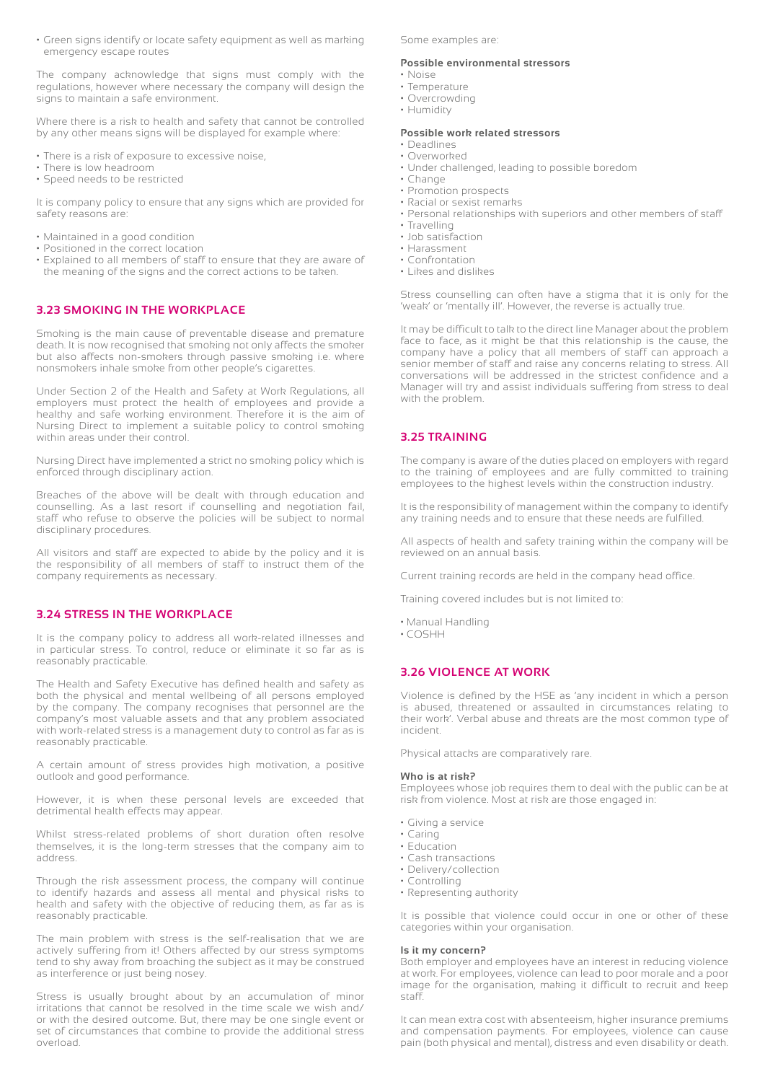• Green signs identify or locate safety equipment as well as marking emergency escape routes

The company acknowledge that signs must comply with the regulations, however where necessary the company will design the signs to maintain a safe environment.

Where there is a risk to health and safety that cannot be controlled by any other means signs will be displayed for example where:

- There is a risk of exposure to excessive noise,
- There is low headroom
- Speed needs to be restricted

It is company policy to ensure that any signs which are provided for safety reasons are:

- Maintained in a good condition
- Positioned in the correct location
- Explained to all members of staff to ensure that they are aware of the meaning of the signs and the correct actions to be taken.

# **3.23 SMOKING IN THE WORKPLACE**

Smoking is the main cause of preventable disease and premature death. It is now recognised that smoking not only affects the smoker but also affects non-smokers through passive smoking i.e. where nonsmokers inhale smoke from other people's cigarettes.

Under Section 2 of the Health and Safety at Work Regulations, all employers must protect the health of employees and provide a healthy and safe working environment. Therefore it is the aim of Nursing Direct to implement a suitable policy to control smoking within areas under their control.

Nursing Direct have implemented a strict no smoking policy which is enforced through disciplinary action.

Breaches of the above will be dealt with through education and counselling. As a last resort if counselling and negotiation fail, staff who refuse to observe the policies will be subject to normal disciplinary procedures.

All visitors and staff are expected to abide by the policy and it is the responsibility of all members of staff to instruct them of the company requirements as necessary.

# **3.24 STRESS IN THE WORKPLACE**

It is the company policy to address all work-related illnesses and in particular stress. To control, reduce or eliminate it so far as is reasonably practicable.

The Health and Safety Executive has defined health and safety as both the physical and mental wellbeing of all persons employed by the company. The company recognises that personnel are the company's most valuable assets and that any problem associated with work-related stress is a management duty to control as far as is reasonably practicable.

A certain amount of stress provides high motivation, a positive outlook and good performance.

However, it is when these personal levels are exceeded that detrimental health effects may appear.

Whilst stress-related problems of short duration often resolve themselves, it is the long-term stresses that the company aim to address.

Through the risk assessment process, the company will continue to identify hazards and assess all mental and physical risks to health and safety with the objective of reducing them, as far as is reasonably practicable.

The main problem with stress is the self-realisation that we are actively suffering from it! Others affected by our stress symptoms tend to shy away from broaching the subject as it may be construed as interference or just being nosey.

Stress is usually brought about by an accumulation of minor irritations that cannot be resolved in the time scale we wish and/ or with the desired outcome. But, there may be one single event or set of circumstances that combine to provide the additional stress overload.

Some examples are:

### **Possible environmental stressors**

- Noise
- Temperature • Overcrowding
- Humidity
- 
- **Possible work related stressors**
- Deadlines
- Overworked
- Under challenged, leading to possible boredom
- Change
- Promotion prospects
- Racial or sexist remarks
- Personal relationships with superiors and other members of staff
- Travelling
- Job satisfaction
- Harassment • Confrontation
- Likes and dislikes
- 

Stress counselling can often have a stigma that it is only for the 'weak' or 'mentally ill'. However, the reverse is actually true.

It may be difficult to talk to the direct line Manager about the problem face to face, as it might be that this relationship is the cause, the company have a policy that all members of staff can approach a senior member of staff and raise any concerns relating to stress. All conversations will be addressed in the strictest confidence and a Manager will try and assist individuals suffering from stress to deal with the problem.

# **3.25 TRAINING**

The company is aware of the duties placed on employers with regard to the training of employees and are fully committed to training employees to the highest levels within the construction industry.

It is the responsibility of management within the company to identify any training needs and to ensure that these needs are fulfilled.

All aspects of health and safety training within the company will be reviewed on an annual basis.

Current training records are held in the company head office.

Training covered includes but is not limited to:

- Manual Handling
- COSHH

# **3.26 VIOLENCE AT WORK**

Violence is defined by the HSE as 'any incident in which a person is abused, threatened or assaulted in circumstances relating to their work'. Verbal abuse and threats are the most common type of incident.

Physical attacks are comparatively rare.

### **Who is at risk?**

Employees whose job requires them to deal with the public can be at risk from violence. Most at risk are those engaged in:

- Giving a service
- Caring
- Education
- Cash transactions • Delivery/collection
- Controlling
- 
- Representing authority

It is possible that violence could occur in one or other of these categories within your organisation.

### **Is it my concern?**

Both employer and employees have an interest in reducing violence at work. For employees, violence can lead to poor morale and a poor image for the organisation, making it difficult to recruit and keep staff.

It can mean extra cost with absenteeism, higher insurance premiums and compensation payments. For employees, violence can cause pain (both physical and mental), distress and even disability or death.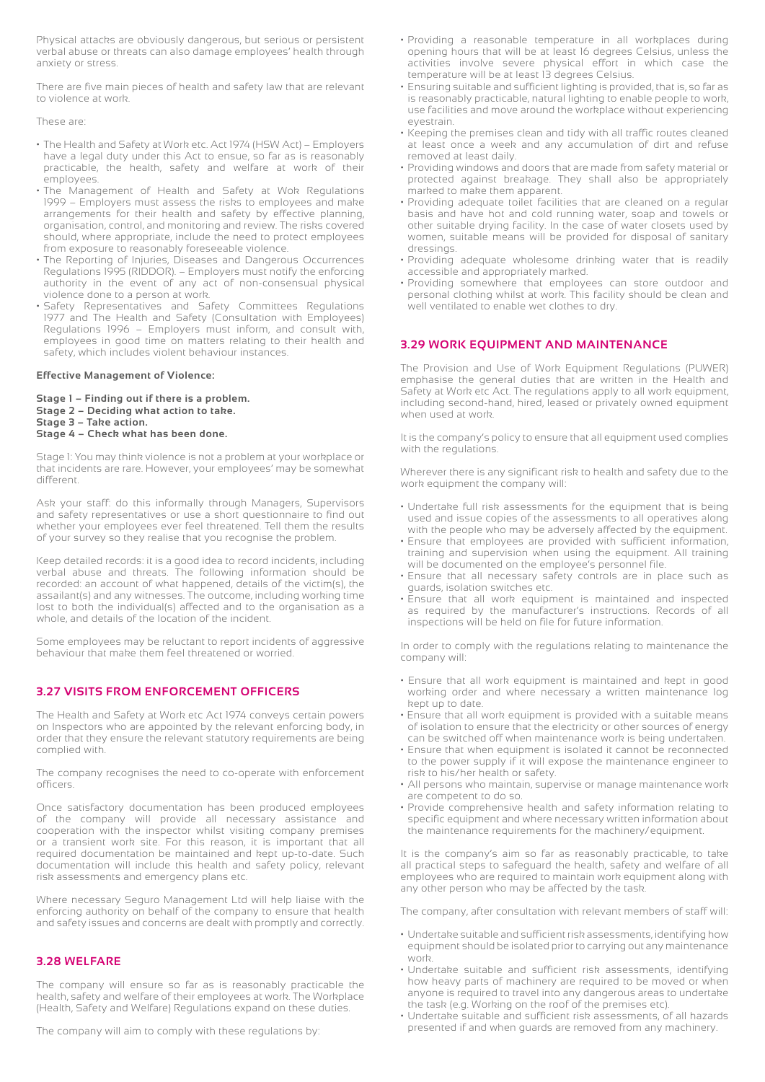Physical attacks are obviously dangerous, but serious or persistent verbal abuse or threats can also damage employees' health through anxiety or stress.

There are five main pieces of health and safety law that are relevant to violence at work.

These are:

- The Health and Safety at Work etc. Act 1974 (HSW Act) Employers have a legal duty under this Act to ensue, so far as is reasonably practicable, the health, safety and welfare at work of their employees.
- The Management of Health and Safety at Wok Regulations 1999 – Employers must assess the risks to employees and make arrangements for their health and safety by effective planning, organisation, control, and monitoring and review. The risks covered should, where appropriate, include the need to protect employees from exposure to reasonably foreseeable violence.
- The Reporting of Injuries, Diseases and Dangerous Occurrences Regulations 1995 (RIDDOR). – Employers must notify the enforcing authority in the event of any act of non-consensual physical violence done to a person at work.
- Safety Representatives and Safety Committees Regulations 1977 and The Health and Safety (Consultation with Employees) Regulations 1996 – Employers must inform, and consult with, employees in good time on matters relating to their health and safety, which includes violent behaviour instances.

### **Effective Management of Violence:**

**Stage 1 – Finding out if there is a problem. Stage 2 – Deciding what action to take. Stage 3 – Take action. Stage 4 – Check what has been done.**

Stage 1: You may think violence is not a problem at your workplace or that incidents are rare. However, your employees' may be somewhat different.

Ask your staff: do this informally through Managers, Supervisors and safety representatives or use a short questionnaire to find out whether your employees ever feel threatened. Tell them the results of your survey so they realise that you recognise the problem.

Keep detailed records: it is a good idea to record incidents, including verbal abuse and threats. The following information should be recorded: an account of what happened, details of the victim(s), the assailant(s) and any witnesses. The outcome, including working time lost to both the individual(s) affected and to the organisation as a whole, and details of the location of the incident.

Some employees may be reluctant to report incidents of aggressive behaviour that make them feel threatened or worried.

# **3.27 VISITS FROM ENFORCEMENT OFFICERS**

The Health and Safety at Work etc Act 1974 conveys certain powers on Inspectors who are appointed by the relevant enforcing body, in order that they ensure the relevant statutory requirements are being complied with.

The company recognises the need to co-operate with enforcement officers.

Once satisfactory documentation has been produced employees of the company will provide all necessary assistance and cooperation with the inspector whilst visiting company premises or a transient work site. For this reason, it is important that all required documentation be maintained and kept up-to-date. Such documentation will include this health and safety policy, relevant risk assessments and emergency plans etc.

Where necessary Seguro Management Ltd will help liaise with the enforcing authority on behalf of the company to ensure that health and safety issues and concerns are dealt with promptly and correctly.

# **3.28 WELFARE**

The company will ensure so far as is reasonably practicable the health, safety and welfare of their employees at work. The Workplace (Health, Safety and Welfare) Regulations expand on these duties.

The company will aim to comply with these regulations by:

- Providing a reasonable temperature in all workplaces during opening hours that will be at least 16 degrees Celsius, unless the activities involve severe physical effort in which case the temperature will be at least 13 degrees Celsius.
- Ensuring suitable and sufficient lighting is provided, that is, so far as is reasonably practicable, natural lighting to enable people to work, use facilities and move around the workplace without experiencing eyestrain.
- Keeping the premises clean and tidy with all traffic routes cleaned at least once a week and any accumulation of dirt and refuse removed at least daily.
- Providing windows and doors that are made from safety material or protected against breakage. They shall also be appropriately marked to make them apparent.
- Providing adequate toilet facilities that are cleaned on a regular basis and have hot and cold running water, soap and towels or other suitable drying facility. In the case of water closets used by women, suitable means will be provided for disposal of sanitary dressings.
- Providing adequate wholesome drinking water that is readily accessible and appropriately marked.
- Providing somewhere that employees can store outdoor and personal clothing whilst at work. This facility should be clean and well ventilated to enable wet clothes to dry.

# **3.29 WORK EQUIPMENT AND MAINTENANCE**

The Provision and Use of Work Equipment Regulations (PUWER) emphasise the general duties that are written in the Health and Safety at Work etc Act. The regulations apply to all work equipment, including second-hand, hired, leased or privately owned equipment when used at work.

It is the company's policy to ensure that all equipment used complies with the regulations.

Wherever there is any significant risk to health and safety due to the work equipment the company will:

- Undertake full risk assessments for the equipment that is being used and issue copies of the assessments to all operatives along with the people who may be adversely affected by the equipment.
- Ensure that employees are provided with sufficient information, training and supervision when using the equipment. All training will be documented on the employee's personnel file.
- Ensure that all necessary safety controls are in place such as guards, isolation switches etc.
- Ensure that all work equipment is maintained and inspected as required by the manufacturer's instructions. Records of all inspections will be held on file for future information.

In order to comply with the regulations relating to maintenance the company will:

- Ensure that all work equipment is maintained and kept in good working order and where necessary a written maintenance log kept up to date.
- Ensure that all work equipment is provided with a suitable means of isolation to ensure that the electricity or other sources of energy can be switched off when maintenance work is being undertaken.
- Ensure that when equipment is isolated it cannot be reconnected to the power supply if it will expose the maintenance engineer to risk to his/her health or safety.
- All persons who maintain, supervise or manage maintenance work are competent to do so.
- Provide comprehensive health and safety information relating to specific equipment and where necessary written information about the maintenance requirements for the machinery/equipment.

It is the company's aim so far as reasonably practicable, to take all practical steps to safeguard the health, safety and welfare of all employees who are required to maintain work equipment along with any other person who may be affected by the task.

The company, after consultation with relevant members of staff will:

- Undertake suitable and sufficient risk assessments, identifying how equipment should be isolated prior to carrying out any maintenance work.
- Undertake suitable and sufficient risk assessments, identifying how heavy parts of machinery are required to be moved or when anyone is required to travel into any dangerous areas to undertake the task (e.g. Working on the roof of the premises etc).
- Undertake suitable and sufficient risk assessments, of all hazards presented if and when guards are removed from any machinery.